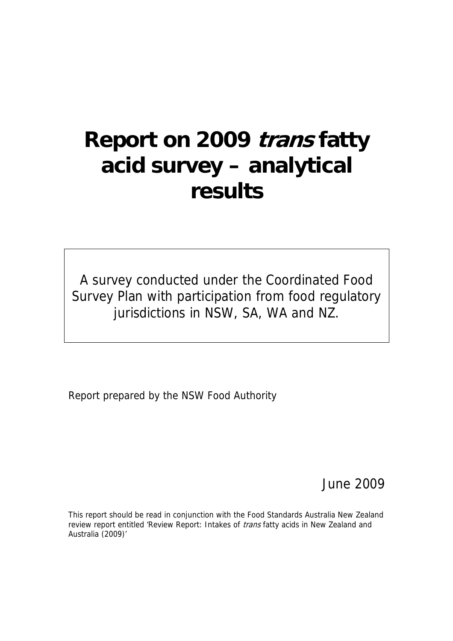# **Report on 2009 trans fatty acid survey – analytical results**

A survey conducted under the Coordinated Food Survey Plan with participation from food regulatory jurisdictions in NSW, SA, WA and NZ.

Report prepared by the NSW Food Authority

June 2009

This report should be read in conjunction with the Food Standards Australia New Zealand review report entitled 'Review Report: Intakes of *trans* fatty acids in New Zealand and Australia (2009)'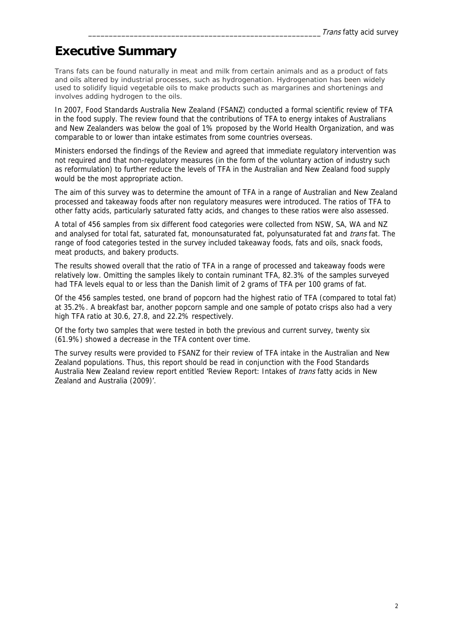### **Executive Summary**

*Trans* fats can be found naturally in meat and milk from certain animals and as a product of fats and oils altered by industrial processes, such as hydrogenation. Hydrogenation has been widely used to solidify liquid vegetable oils to make products such as margarines and shortenings and involves adding hydrogen to the oils.

In 2007, Food Standards Australia New Zealand (FSANZ) conducted a formal scientific review of TFA in the food supply. The review found that the contributions of TFA to energy intakes of Australians and New Zealanders was below the goal of 1% proposed by the World Health Organization, and was comparable to or lower than intake estimates from some countries overseas.

Ministers endorsed the findings of the Review and agreed that immediate regulatory intervention was not required and that non-regulatory measures (in the form of the voluntary action of industry such as reformulation) to further reduce the levels of TFA in the Australian and New Zealand food supply would be the most appropriate action.

The aim of this survey was to determine the amount of TFA in a range of Australian and New Zealand processed and takeaway foods after non regulatory measures were introduced. The ratios of TFA to other fatty acids, particularly saturated fatty acids, and changes to these ratios were also assessed.

A total of 456 samples from six different food categories were collected from NSW, SA, WA and NZ and analysed for total fat, saturated fat, monounsaturated fat, polyunsaturated fat and *trans* fat. The range of food categories tested in the survey included takeaway foods, fats and oils, snack foods, meat products, and bakery products.

The results showed overall that the ratio of TFA in a range of processed and takeaway foods were relatively low. Omitting the samples likely to contain ruminant TFA, 82.3% of the samples surveyed had TFA levels equal to or less than the Danish limit of 2 grams of TFA per 100 grams of fat.

Of the 456 samples tested, one brand of popcorn had the highest ratio of TFA (compared to total fat) at 35.2%. A breakfast bar, another popcorn sample and one sample of potato crisps also had a very high TFA ratio at 30.6, 27.8, and 22.2% respectively.

Of the forty two samples that were tested in both the previous and current survey, twenty six (61.9%) showed a decrease in the TFA content over time.

The survey results were provided to FSANZ for their review of TFA intake in the Australian and New Zealand populations. Thus, this report should be read in conjunction with the Food Standards Australia New Zealand review report entitled 'Review Report: Intakes of *trans* fatty acids in New Zealand and Australia (2009)'.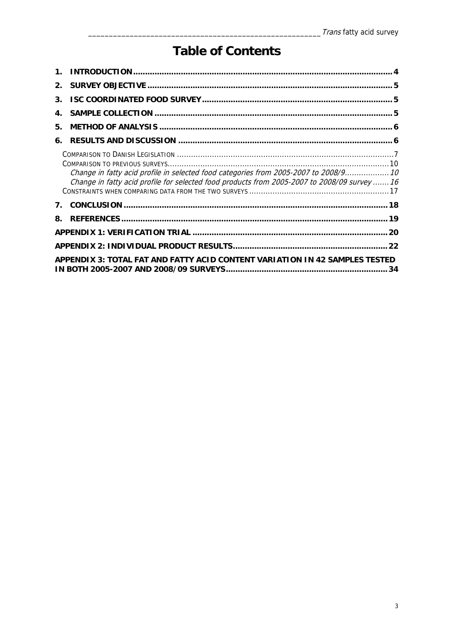# **Table of Contents**

| 3. |                                                                                                                                                                                      |  |
|----|--------------------------------------------------------------------------------------------------------------------------------------------------------------------------------------|--|
| 4. |                                                                                                                                                                                      |  |
| 5. |                                                                                                                                                                                      |  |
| 6. |                                                                                                                                                                                      |  |
|    | Change in fatty acid profile in selected food categories from 2005-2007 to 2008/9 10<br>Change in fatty acid profile for selected food products from 2005-2007 to 2008/09 survey  16 |  |
|    |                                                                                                                                                                                      |  |
| 8. |                                                                                                                                                                                      |  |
|    |                                                                                                                                                                                      |  |
|    |                                                                                                                                                                                      |  |
|    | APPENDIX 3: TOTAL FAT AND FATTY ACID CONTENT VARIATION IN 42 SAMPLES TESTED                                                                                                          |  |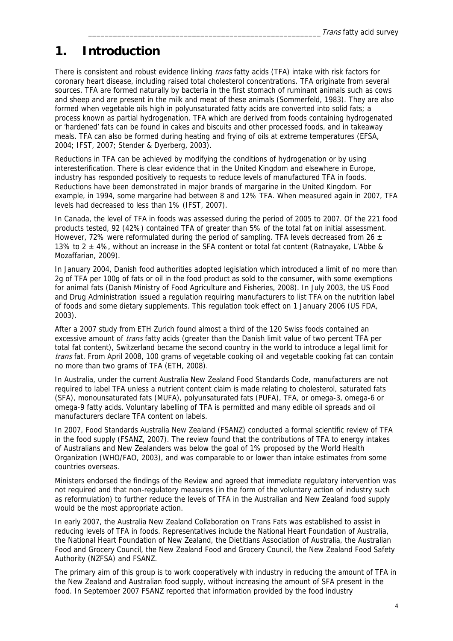### **1. Introduction**

There is consistent and robust evidence linking *trans* fatty acids (TFA) intake with risk factors for coronary heart disease, including raised total cholesterol concentrations. TFA originate from several sources. TFA are formed naturally by bacteria in the first stomach of ruminant animals such as cows and sheep and are present in the milk and meat of these animals (Sommerfeld, 1983). They are also formed when vegetable oils high in polyunsaturated fatty acids are converted into solid fats; a process known as partial hydrogenation. TFA which are derived from foods containing hydrogenated or 'hardened' fats can be found in cakes and biscuits and other processed foods, and in takeaway meals. TFA can also be formed during heating and frying of oils at extreme temperatures (EFSA, 2004; IFST, 2007; Stender & Dyerberg, 2003).

Reductions in TFA can be achieved by modifying the conditions of hydrogenation or by using interesterification. There is clear evidence that in the United Kingdom and elsewhere in Europe, industry has responded positively to requests to reduce levels of manufactured TFA in foods. Reductions have been demonstrated in major brands of margarine in the United Kingdom. For example, in 1994, some margarine had between 8 and 12% TFA. When measured again in 2007, TFA levels had decreased to less than 1% (IFST, 2007).

In Canada, the level of TFA in foods was assessed during the period of 2005 to 2007. Of the 221 food products tested, 92 (42%) contained TFA of greater than 5% of the total fat on initial assessment. However, 72% were reformulated during the period of sampling. TFA levels decreased from 26  $\pm$ 13% to 2  $\pm$  4%, without an increase in the SFA content or total fat content (Ratnayake, L'Abbe & Mozaffarian, 2009).

In January 2004, Danish food authorities adopted legislation which introduced a limit of no more than 2g of TFA per 100g of fats or oil in the food product as sold to the consumer, with some exemptions for animal fats (Danish Ministry of Food Agriculture and Fisheries, 2008). In July 2003, the US Food and Drug Administration issued a regulation requiring manufacturers to list TFA on the nutrition label of foods and some dietary supplements. This regulation took effect on 1 January 2006 (US FDA, 2003).

After a 2007 study from ETH Zurich found almost a third of the 120 Swiss foods contained an excessive amount of *trans* fatty acids (greater than the Danish limit value of two percent TFA per total fat content), Switzerland became the second country in the world to introduce a legal limit for trans fat. From April 2008, 100 grams of vegetable cooking oil and vegetable cooking fat can contain no more than two grams of TFA (ETH, 2008).

In Australia, under the current Australia New Zealand Food Standards Code, manufacturers are not required to label TFA unless a nutrient content claim is made relating to cholesterol, saturated fats (SFA), monounsaturated fats (MUFA), polyunsaturated fats (PUFA), TFA, or omega-3, omega-6 or omega-9 fatty acids. Voluntary labelling of TFA is permitted and many edible oil spreads and oil manufacturers declare TFA content on labels.

In 2007, Food Standards Australia New Zealand (FSANZ) conducted a formal scientific review of TFA in the food supply (FSANZ, 2007). The review found that the contributions of TFA to energy intakes of Australians and New Zealanders was below the goal of 1% proposed by the World Health Organization (WHO/FAO, 2003), and was comparable to or lower than intake estimates from some countries overseas.

Ministers endorsed the findings of the Review and agreed that immediate regulatory intervention was not required and that non-regulatory measures (in the form of the voluntary action of industry such as reformulation) to further reduce the levels of TFA in the Australian and New Zealand food supply would be the most appropriate action.

In early 2007, the Australia New Zealand Collaboration on Trans Fats was established to assist in reducing levels of TFA in foods. Representatives include the National Heart Foundation of Australia, the National Heart Foundation of New Zealand, the Dietitians Association of Australia, the Australian Food and Grocery Council, the New Zealand Food and Grocery Council, the New Zealand Food Safety Authority (NZFSA) and FSANZ.

The primary aim of this group is to work cooperatively with industry in reducing the amount of TFA in the New Zealand and Australian food supply, without increasing the amount of SFA present in the food. In September 2007 FSANZ reported that information provided by the food industry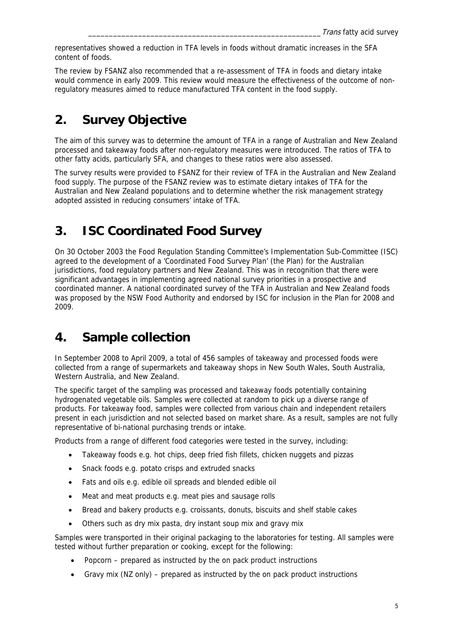representatives showed a reduction in TFA levels in foods without dramatic increases in the SFA content of foods.

The review by FSANZ also recommended that a re-assessment of TFA in foods and dietary intake would commence in early 2009. This review would measure the effectiveness of the outcome of nonregulatory measures aimed to reduce manufactured TFA content in the food supply.

## **2. Survey Objective**

The aim of this survey was to determine the amount of TFA in a range of Australian and New Zealand processed and takeaway foods after non-regulatory measures were introduced. The ratios of TFA to other fatty acids, particularly SFA, and changes to these ratios were also assessed.

The survey results were provided to FSANZ for their review of TFA in the Australian and New Zealand food supply. The purpose of the FSANZ review was to estimate dietary intakes of TFA for the Australian and New Zealand populations and to determine whether the risk management strategy adopted assisted in reducing consumers' intake of TFA.

# **3. ISC Coordinated Food Survey**

On 30 October 2003 the Food Regulation Standing Committee's Implementation Sub-Committee (ISC) agreed to the development of a 'Coordinated Food Survey Plan' (the Plan) for the Australian jurisdictions, food regulatory partners and New Zealand. This was in recognition that there were significant advantages in implementing agreed national survey priorities in a prospective and coordinated manner. A national coordinated survey of the TFA in Australian and New Zealand foods was proposed by the NSW Food Authority and endorsed by ISC for inclusion in the Plan for 2008 and 2009.

## **4. Sample collection**

In September 2008 to April 2009, a total of 456 samples of takeaway and processed foods were collected from a range of supermarkets and takeaway shops in New South Wales, South Australia, Western Australia, and New Zealand.

The specific target of the sampling was processed and takeaway foods potentially containing hydrogenated vegetable oils. Samples were collected at random to pick up a diverse range of products. For takeaway food, samples were collected from various chain and independent retailers present in each jurisdiction and not selected based on market share. As a result, samples are not fully representative of bi-national purchasing trends or intake.

Products from a range of different food categories were tested in the survey, including:

- Takeaway foods e.g. hot chips, deep fried fish fillets, chicken nuggets and pizzas
- Snack foods e.g. potato crisps and extruded snacks
- Fats and oils e.g. edible oil spreads and blended edible oil
- Meat and meat products e.g. meat pies and sausage rolls
- Bread and bakery products e.g. croissants, donuts, biscuits and shelf stable cakes
- Others such as dry mix pasta, dry instant soup mix and gravy mix

Samples were transported in their original packaging to the laboratories for testing. All samples were tested without further preparation or cooking, except for the following:

- Popcorn prepared as instructed by the on pack product instructions
- Gravy mix (NZ only) prepared as instructed by the on pack product instructions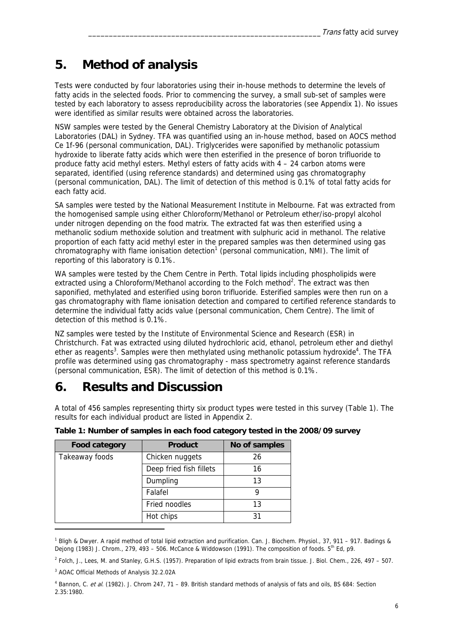### **5. Method of analysis**

Tests were conducted by four laboratories using their in-house methods to determine the levels of fatty acids in the selected foods. Prior to commencing the survey, a small sub-set of samples were tested by each laboratory to assess reproducibility across the laboratories (see Appendix 1). No issues were identified as similar results were obtained across the laboratories.

NSW samples were tested by the General Chemistry Laboratory at the Division of Analytical Laboratories (DAL) in Sydney. TFA was quantified using an in-house method, based on AOCS method Ce 1f-96 (personal communication, DAL). Triglycerides were saponified by methanolic potassium hydroxide to liberate fatty acids which were then esterified in the presence of boron trifluoride to produce fatty acid methyl esters. Methyl esters of fatty acids with  $4 - 24$  carbon atoms were separated, identified (using reference standards) and determined using gas chromatography (personal communication, DAL). The limit of detection of this method is 0.1% of total fatty acids for each fatty acid.

SA samples were tested by the National Measurement Institute in Melbourne. Fat was extracted from the homogenised sample using either Chloroform/Methanol or Petroleum ether/iso-propyl alcohol under nitrogen depending on the food matrix. The extracted fat was then esterified using a methanolic sodium methoxide solution and treatment with sulphuric acid in methanol. The relative proportion of each fatty acid methyl ester in the prepared samples was then determined using gas chromatography with flame ionisation detection<sup>1</sup> (personal communication, NMI). The limit of reporting of this laboratory is 0.1%.

WA samples were tested by the Chem Centre in Perth. Total lipids including phospholipids were extracted using a Chloroform/Methanol according to the Folch method<sup>2</sup>. The extract was then saponified, methylated and esterified using boron trifluoride. Esterified samples were then run on a gas chromatography with flame ionisation detection and compared to certified reference standards to determine the individual fatty acids value (personal communication, Chem Centre). The limit of detection of this method is 0.1%.

NZ samples were tested by the Institute of Environmental Science and Research (ESR) in Christchurch. Fat was extracted using diluted hydrochloric acid, ethanol, petroleum ether and diethyl ether as reagents<sup>3</sup>. Samples were then methylated using methanolic potassium hydroxide<sup>4</sup>. The TFA profile was determined using gas chromatography - mass spectrometry against reference standards (personal communication, ESR). The limit of detection of this method is 0.1%.

### **6. Results and Discussion**

A total of 456 samples representing thirty six product types were tested in this survey (Table 1). The results for each individual product are listed in Appendix 2.

| <b>Food category</b> | <b>Product</b>          | No of samples |
|----------------------|-------------------------|---------------|
| Takeaway foods       | Chicken nuggets         | 26            |
|                      | Deep fried fish fillets | 16            |
|                      | Dumpling                | 13            |
|                      | Falafel                 | 9             |
|                      | Fried noodles           | 13            |
|                      | Hot chips               | 31            |

**Table 1: Number of samples in each food category tested in the 2008/09 survey** 

-

<sup>&</sup>lt;sup>1</sup> Bligh & Dwyer. A rapid method of total lipid extraction and purification. Can. J. Biochem. Physiol., 37, 911 – 917. Badings & Dejong (1983) J. Chrom., 279, 493 – 506. McCance & Widdowson (1991). The composition of foods.  $5^{th}$  Ed, p9.

<sup>2</sup> Folch, J., Lees, M. and Stanley, G.H.S. (1957). Preparation of lipid extracts from brain tissue. J. Biol. Chem., 226, 497 – 507.

<sup>3</sup> AOAC Official Methods of Analysis 32.2.02A

<sup>&</sup>lt;sup>4</sup> Bannon, C. et al. (1982). J. Chrom 247, 71 – 89. British standard methods of analysis of fats and oils, BS 684: Section 2.35:1980.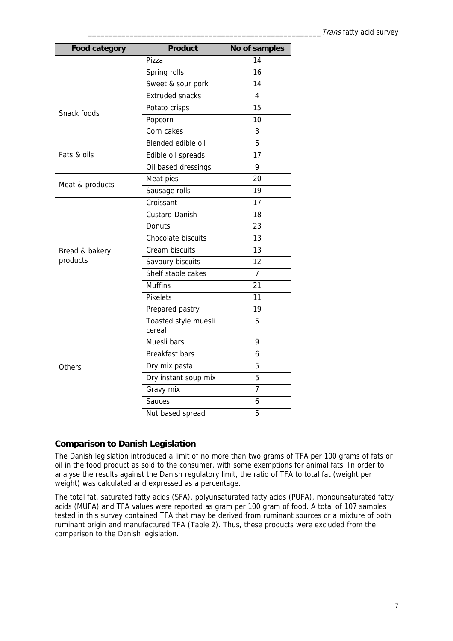| <b>Food category</b> | <b>Product</b>                                                                                                                                                                                                                                                                                                                                                                                                                                                                                         | No of samples   |
|----------------------|--------------------------------------------------------------------------------------------------------------------------------------------------------------------------------------------------------------------------------------------------------------------------------------------------------------------------------------------------------------------------------------------------------------------------------------------------------------------------------------------------------|-----------------|
|                      | Pizza                                                                                                                                                                                                                                                                                                                                                                                                                                                                                                  | 14              |
|                      | Spring rolls                                                                                                                                                                                                                                                                                                                                                                                                                                                                                           | 16              |
|                      | Sweet & sour pork                                                                                                                                                                                                                                                                                                                                                                                                                                                                                      | 14              |
|                      | <b>Extruded snacks</b>                                                                                                                                                                                                                                                                                                                                                                                                                                                                                 | 4               |
| Snack foods          | Potato crisps<br>Popcorn<br>Corn cakes<br>Blended edible oil<br>Edible oil spreads<br>Oil based dressings<br>Meat pies<br>Sausage rolls<br>Croissant<br><b>Custard Danish</b><br>Donuts<br>Chocolate biscuits<br>Cream biscuits<br>Savoury biscuits<br>Shelf stable cakes<br><b>Muffins</b><br><b>Pikelets</b><br>Prepared pastry<br>Toasted style muesli<br>cereal<br>Muesli bars<br><b>Breakfast bars</b><br>Dry mix pasta<br>Dry instant soup mix<br>Gravy mix<br><b>Sauces</b><br>Nut based spread | 15              |
|                      |                                                                                                                                                                                                                                                                                                                                                                                                                                                                                                        | 10              |
|                      |                                                                                                                                                                                                                                                                                                                                                                                                                                                                                                        | 3               |
|                      |                                                                                                                                                                                                                                                                                                                                                                                                                                                                                                        | 5               |
| Fats & oils          |                                                                                                                                                                                                                                                                                                                                                                                                                                                                                                        | 17              |
|                      |                                                                                                                                                                                                                                                                                                                                                                                                                                                                                                        | 9               |
|                      |                                                                                                                                                                                                                                                                                                                                                                                                                                                                                                        | 20              |
| Meat & products      |                                                                                                                                                                                                                                                                                                                                                                                                                                                                                                        | 19              |
|                      |                                                                                                                                                                                                                                                                                                                                                                                                                                                                                                        | 17              |
|                      |                                                                                                                                                                                                                                                                                                                                                                                                                                                                                                        | 18              |
|                      |                                                                                                                                                                                                                                                                                                                                                                                                                                                                                                        | 23              |
|                      |                                                                                                                                                                                                                                                                                                                                                                                                                                                                                                        | 13              |
| Bread & bakery       |                                                                                                                                                                                                                                                                                                                                                                                                                                                                                                        | 13              |
| products             |                                                                                                                                                                                                                                                                                                                                                                                                                                                                                                        | 12              |
|                      |                                                                                                                                                                                                                                                                                                                                                                                                                                                                                                        | 7               |
|                      |                                                                                                                                                                                                                                                                                                                                                                                                                                                                                                        | $\overline{21}$ |
|                      |                                                                                                                                                                                                                                                                                                                                                                                                                                                                                                        | 11              |
|                      |                                                                                                                                                                                                                                                                                                                                                                                                                                                                                                        | 19              |
|                      |                                                                                                                                                                                                                                                                                                                                                                                                                                                                                                        | 5               |
|                      |                                                                                                                                                                                                                                                                                                                                                                                                                                                                                                        | 9               |
|                      |                                                                                                                                                                                                                                                                                                                                                                                                                                                                                                        | 6               |
| Others               |                                                                                                                                                                                                                                                                                                                                                                                                                                                                                                        | 5               |
|                      |                                                                                                                                                                                                                                                                                                                                                                                                                                                                                                        | 5               |
|                      |                                                                                                                                                                                                                                                                                                                                                                                                                                                                                                        | $\overline{7}$  |
|                      |                                                                                                                                                                                                                                                                                                                                                                                                                                                                                                        | 6               |
|                      |                                                                                                                                                                                                                                                                                                                                                                                                                                                                                                        | 5               |

#### **Comparison to Danish Legislation**

The Danish legislation introduced a limit of no more than two grams of TFA per 100 grams of fats or oil in the food product as sold to the consumer, with some exemptions for animal fats. In order to analyse the results against the Danish regulatory limit, the ratio of TFA to total fat (weight per weight) was calculated and expressed as a percentage.

The total fat, saturated fatty acids (SFA), polyunsaturated fatty acids (PUFA), monounsaturated fatty acids (MUFA) and TFA values were reported as gram per 100 gram of food. A total of 107 samples tested in this survey contained TFA that may be derived from ruminant sources or a mixture of both ruminant origin and manufactured TFA (Table 2). Thus, these products were excluded from the comparison to the Danish legislation.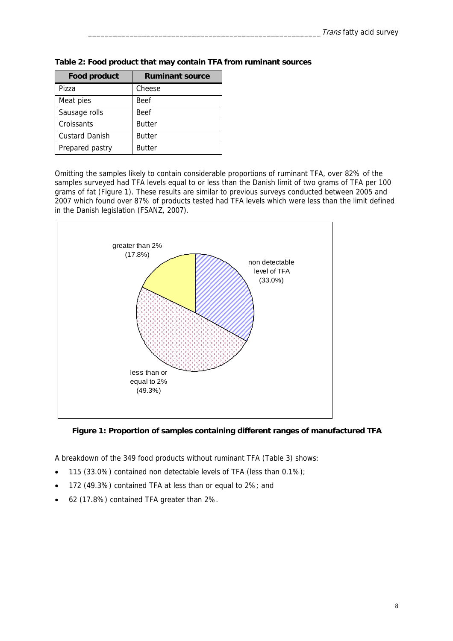| <b>Food product</b>   | <b>Ruminant source</b> |
|-----------------------|------------------------|
| Pizza                 | Cheese                 |
| Meat pies             | <b>Beef</b>            |
| Sausage rolls         | <b>Beef</b>            |
| Croissants            | <b>Butter</b>          |
| <b>Custard Danish</b> | <b>Butter</b>          |
| Prepared pastry       | <b>Butter</b>          |

**Table 2: Food product that may contain TFA from ruminant sources** 

Omitting the samples likely to contain considerable proportions of ruminant TFA, over 82% of the samples surveyed had TFA levels equal to or less than the Danish limit of two grams of TFA per 100 grams of fat (Figure 1). These results are similar to previous surveys conducted between 2005 and 2007 which found over 87% of products tested had TFA levels which were less than the limit defined in the Danish legislation (FSANZ, 2007).



**Figure 1: Proportion of samples containing different ranges of manufactured TFA** 

A breakdown of the 349 food products without ruminant TFA (Table 3) shows:

- 115 (33.0%) contained non detectable levels of TFA (less than 0.1%);
- 172 (49.3%) contained TFA at less than or equal to 2%; and
- 62 (17.8%) contained TFA greater than 2%.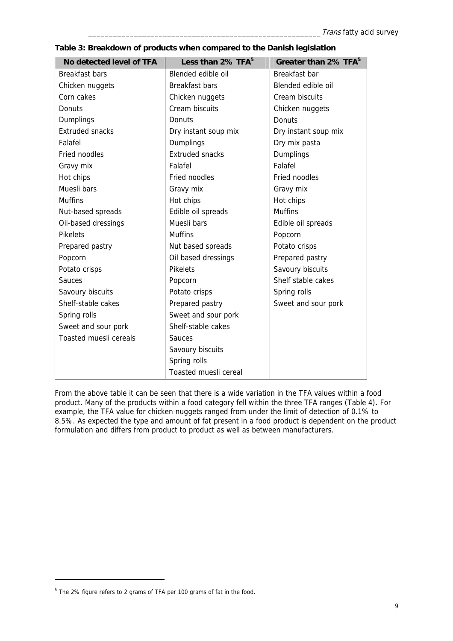| No detected level of TFA | Less than 2% TFA <sup>5</sup> | Greater than 2% TFA <sup>5</sup> |
|--------------------------|-------------------------------|----------------------------------|
| <b>Breakfast bars</b>    | Blended edible oil            | Breakfast bar                    |
| Chicken nuggets          | <b>Breakfast bars</b>         | Blended edible oil               |
| Corn cakes               | Chicken nuggets               | Cream biscuits                   |
| Donuts                   | Cream biscuits                | Chicken nuggets                  |
| Dumplings                | <b>Donuts</b>                 | Donuts                           |
| <b>Extruded snacks</b>   | Dry instant soup mix          | Dry instant soup mix             |
| Falafel                  | Dumplings                     | Dry mix pasta                    |
| Fried noodles            | <b>Extruded snacks</b>        | Dumplings                        |
| Gravy mix                | Falafel                       | Falafel                          |
| Hot chips                | Fried noodles                 | Fried noodles                    |
| Muesli bars              | Gravy mix                     | Gravy mix                        |
| <b>Muffins</b>           | Hot chips                     | Hot chips                        |
| Nut-based spreads        | Edible oil spreads            | <b>Muffins</b>                   |
| Oil-based dressings      | Muesli bars                   | Edible oil spreads               |
| <b>Pikelets</b>          | <b>Muffins</b>                | Popcorn                          |
| Prepared pastry          | Nut based spreads             | Potato crisps                    |
| Popcorn                  | Oil based dressings           | Prepared pastry                  |
| Potato crisps            | <b>Pikelets</b>               | Savoury biscuits                 |
| Sauces                   | Popcorn                       | Shelf stable cakes               |
| Savoury biscuits         | Potato crisps                 | Spring rolls                     |
| Shelf-stable cakes       | Prepared pastry               | Sweet and sour pork              |
| Spring rolls             | Sweet and sour pork           |                                  |
| Sweet and sour pork      | Shelf-stable cakes            |                                  |
| Toasted muesli cereals   | Sauces                        |                                  |
|                          | Savoury biscuits              |                                  |
|                          | Spring rolls                  |                                  |
|                          | Toasted muesli cereal         |                                  |

**Table 3: Breakdown of products when compared to the Danish legislation** 

From the above table it can be seen that there is a wide variation in the TFA values within a food product. Many of the products within a food category fell within the three TFA ranges (Table 4). For example, the TFA value for chicken nuggets ranged from under the limit of detection of 0.1% to 8.5%. As expected the type and amount of fat present in a food product is dependent on the product formulation and differs from product to product as well as between manufacturers.

-

<sup>&</sup>lt;sup>5</sup> The 2% figure refers to 2 grams of TFA per 100 grams of fat in the food.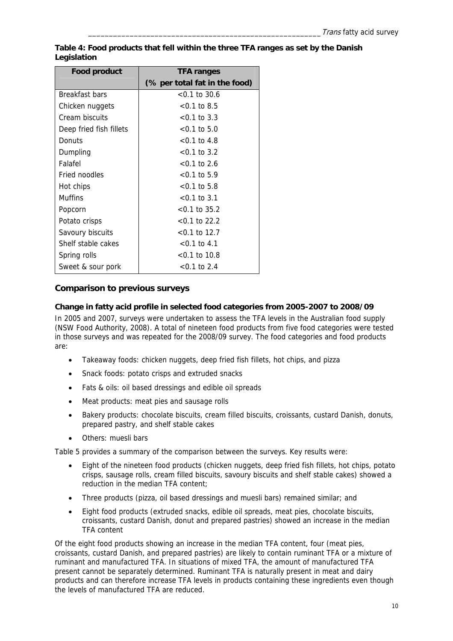| <b>Food product</b>     | <b>TFA ranges</b>             |
|-------------------------|-------------------------------|
|                         | (% per total fat in the food) |
| Breakfast bars          | $< 0.1$ to 30.6               |
| Chicken nuggets         | $< 0.1$ to 8.5                |
| Cream biscuits          | $< 0.1$ to 3.3                |
| Deep fried fish fillets | $< 0.1$ to 5.0                |
| Donuts                  | $<$ 0.1 to 4.8                |
| Dumpling                | $< 0.1$ to 3.2                |
| Falafel                 | $<$ 0.1 to 2.6                |
| Fried noodles           | $< 0.1$ to 5.9                |
| Hot chips               | $< 0.1$ to 5.8                |
| <b>Muffins</b>          | $< 0.1$ to 3.1                |
| Popcorn                 | $<$ 0.1 to 35.2               |
| Potato crisps           | $< 0.1$ to 22.2               |
| Savoury biscuits        | $<$ 0.1 to 12.7               |
| Shelf stable cakes      | $< 0.1$ to 4.1                |
| Spring rolls            | $<$ 0.1 to 10.8               |
| Sweet & sour pork       | $<$ 0.1 to 2.4                |

**Table 4: Food products that fell within the three TFA ranges as set by the Danish Legislation** 

#### **Comparison to previous surveys**

#### **Change in fatty acid profile in selected food categories from 2005-2007 to 2008/09**

In 2005 and 2007, surveys were undertaken to assess the TFA levels in the Australian food supply (NSW Food Authority, 2008). A total of nineteen food products from five food categories were tested in those surveys and was repeated for the 2008/09 survey. The food categories and food products are:

- Takeaway foods: chicken nuggets, deep fried fish fillets, hot chips, and pizza
- Snack foods: potato crisps and extruded snacks
- Fats & oils: oil based dressings and edible oil spreads
- Meat products: meat pies and sausage rolls
- Bakery products: chocolate biscuits, cream filled biscuits, croissants, custard Danish, donuts, prepared pastry, and shelf stable cakes
- Others: muesli bars

Table 5 provides a summary of the comparison between the surveys. Key results were:

- Eight of the nineteen food products (chicken nuggets, deep fried fish fillets, hot chips, potato crisps, sausage rolls, cream filled biscuits, savoury biscuits and shelf stable cakes) showed a reduction in the median TFA content;
- Three products (pizza, oil based dressings and muesli bars) remained similar; and
- Eight food products (extruded snacks, edible oil spreads, meat pies, chocolate biscuits, croissants, custard Danish, donut and prepared pastries) showed an increase in the median TFA content

Of the eight food products showing an increase in the median TFA content, four (meat pies, croissants, custard Danish, and prepared pastries) are likely to contain ruminant TFA or a mixture of ruminant and manufactured TFA. In situations of mixed TFA, the amount of manufactured TFA present cannot be separately determined. Ruminant TFA is naturally present in meat and dairy products and can therefore increase TFA levels in products containing these ingredients even though the levels of manufactured TFA are reduced.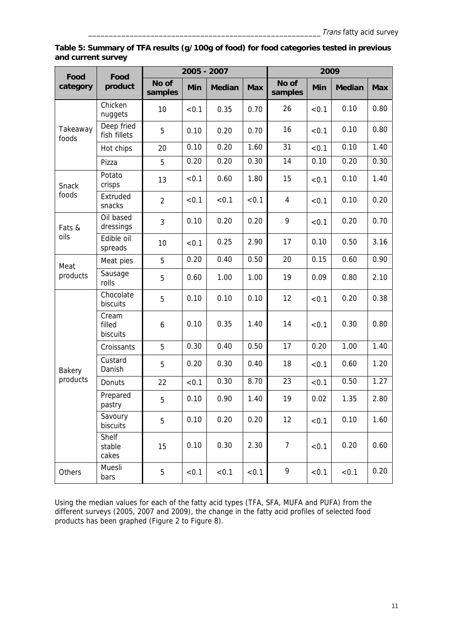| Table 5: Summary of TFA results (g/100g of food) for food categories tested in previous |  |
|-----------------------------------------------------------------------------------------|--|
| and current survey                                                                      |  |

| Food              | Food                        | 2005 - 2007      |       |               |            | 2009             |            |               |            |
|-------------------|-----------------------------|------------------|-------|---------------|------------|------------------|------------|---------------|------------|
| category          | product                     | No of<br>samples | Min   | <b>Median</b> | <b>Max</b> | No of<br>samples | <b>Min</b> | <b>Median</b> | <b>Max</b> |
|                   | Chicken<br>nuggets          | 10               | < 0.1 | 0.35          | 0.70       | 26               | < 0.1      | 0.10          | 0.80       |
| Takeaway<br>foods | Deep fried<br>fish fillets  | 5                | 0.10  | 0.20          | 0.70       | 16               | < 0.1      | 0.10          | 0.80       |
|                   | Hot chips                   | 20               | 0.10  | 0.20          | 1.60       | 31               | < 0.1      | 0.10          | 1.40       |
|                   | Pizza                       | 5                | 0.20  | 0.20          | 0.30       | 14               | 0.10       | 0.20          | 0.30       |
| Snack             | Potato<br>crisps            | 13               | < 0.1 | 0.60          | 1.80       | 15               | < 0.1      | 0.10          | 1.40       |
| foods             | Extruded<br>snacks          | $\overline{2}$   | < 0.1 | < 0.1         | < 0.1      | 4                | < 0.1      | 0.10          | 0.20       |
| Fats &            | Oil based<br>dressings      | 3                | 0.10  | 0.20          | 0.20       | 9                | < 0.1      | 0.20          | 0.70       |
| oils              | Edible oil<br>spreads       | 10               | < 0.1 | 0.25          | 2.90       | 17               | 0.10       | 0.50          | 3.16       |
| Meat              | Meat pies                   | 5                | 0.20  | 0.40          | 0.50       | 20               | 0.15       | 0.60          | 0.90       |
| products          | Sausage<br>rolls            | 5                | 0.60  | 1.00          | 1.00       | 19               | 0.09       | 0.80          | 2.10       |
|                   | Chocolate<br>biscuits       | 5                | 0.10  | 0.10          | 0.10       | 12               | < 0.1      | 0.20          | 0.38       |
|                   | Cream<br>filled<br>biscuits | 6                | 0.10  | 0.35          | 1.40       | 14               | < 0.1      | 0.30          | 0.80       |
|                   | Croissants                  | 5                | 0.30  | 0.40          | 0.50       | 17               | 0.20       | 1.00          | 1.40       |
| Bakery            | Custard<br>Danish           | 5                | 0.20  | 0.30          | 0.40       | 18               | < 0.1      | 0.60          | 1.20       |
| products          | Donuts                      | 22               | < 0.1 | 0.30          | 8.70       | 23               | < 0.1      | 0.50          | 1.27       |
|                   | Prepared<br>pastry          | 5                | 0.10  | 0.90          | 1.40       | 19               | 0.02       | 1.35          | 2.80       |
|                   | Savoury<br>biscuits         | 5                | 0.10  | 0.20          | 0.20       | 12               | < 0.1      | 0.10          | 1.60       |
|                   | Shelf<br>stable<br>cakes    | 15               | 0.10  | 0.30          | 2.30       | $\overline{7}$   | < 0.1      | 0.20          | 0.60       |
| Others            | Muesli<br>bars              | 5                | < 0.1 | < 0.1         | < 0.1      | 9                | < 0.1      | < 0.1         | 0.20       |

Using the median values for each of the fatty acid types (TFA, SFA, MUFA and PUFA) from the different surveys (2005, 2007 and 2009), the change in the fatty acid profiles of selected food products has been graphed (Figure 2 to Figure 8).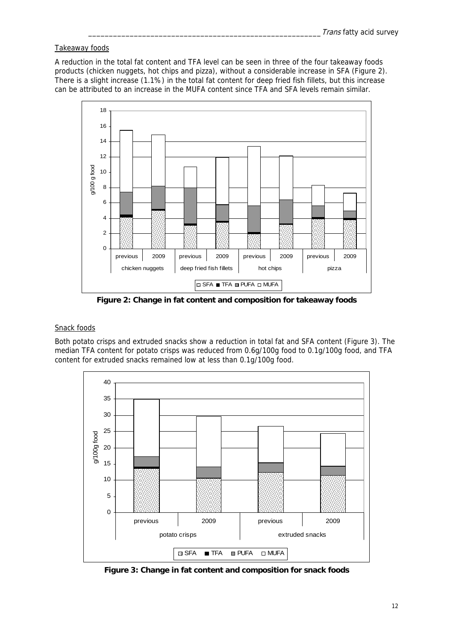#### Takeaway foods

A reduction in the total fat content and TFA level can be seen in three of the four takeaway foods products (chicken nuggets, hot chips and pizza), without a considerable increase in SFA (Figure 2). There is a slight increase (1.1%) in the total fat content for deep fried fish fillets, but this increase can be attributed to an increase in the MUFA content since TFA and SFA levels remain similar.



**Figure 2: Change in fat content and composition for takeaway foods** 

#### Snack foods

Both potato crisps and extruded snacks show a reduction in total fat and SFA content (Figure 3). The median TFA content for potato crisps was reduced from 0.6g/100g food to 0.1g/100g food, and TFA content for extruded snacks remained low at less than 0.1g/100g food.



**Figure 3: Change in fat content and composition for snack foods**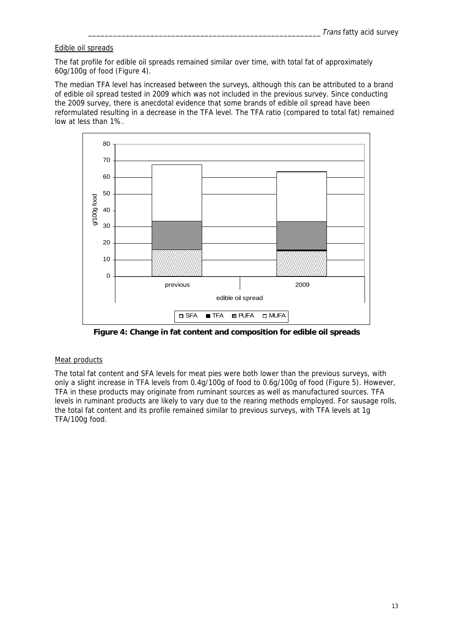#### Edible oil spreads

The fat profile for edible oil spreads remained similar over time, with total fat of approximately 60g/100g of food (Figure 4).

The median TFA level has increased between the surveys, although this can be attributed to a brand of edible oil spread tested in 2009 which was not included in the previous survey. Since conducting the 2009 survey, there is anecdotal evidence that some brands of edible oil spread have been reformulated resulting in a decrease in the TFA level. The TFA ratio (compared to total fat) remained low at less than 1%.



**Figure 4: Change in fat content and composition for edible oil spreads** 

#### Meat products

The total fat content and SFA levels for meat pies were both lower than the previous surveys, with only a slight increase in TFA levels from 0.4g/100g of food to 0.6g/100g of food (Figure 5). However, TFA in these products may originate from ruminant sources as well as manufactured sources. TFA levels in ruminant products are likely to vary due to the rearing methods employed. For sausage rolls, the total fat content and its profile remained similar to previous surveys, with TFA levels at 1g TFA/100g food.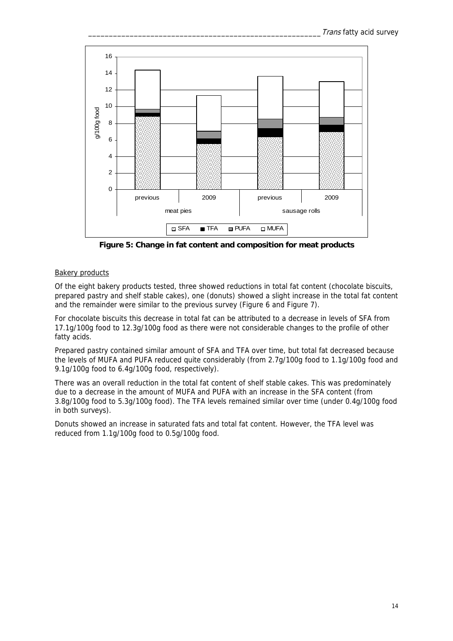

**Figure 5: Change in fat content and composition for meat products** 

#### Bakery products

Of the eight bakery products tested, three showed reductions in total fat content (chocolate biscuits, prepared pastry and shelf stable cakes), one (donuts) showed a slight increase in the total fat content and the remainder were similar to the previous survey (Figure 6 and Figure 7).

For chocolate biscuits this decrease in total fat can be attributed to a decrease in levels of SFA from 17.1g/100g food to 12.3g/100g food as there were not considerable changes to the profile of other fatty acids.

Prepared pastry contained similar amount of SFA and TFA over time, but total fat decreased because the levels of MUFA and PUFA reduced quite considerably (from 2.7g/100g food to 1.1g/100g food and 9.1g/100g food to 6.4g/100g food, respectively).

There was an overall reduction in the total fat content of shelf stable cakes. This was predominately due to a decrease in the amount of MUFA and PUFA with an increase in the SFA content (from 3.8g/100g food to 5.3g/100g food). The TFA levels remained similar over time (under 0.4g/100g food in both surveys).

Donuts showed an increase in saturated fats and total fat content. However, the TFA level was reduced from 1.1g/100g food to 0.5g/100g food.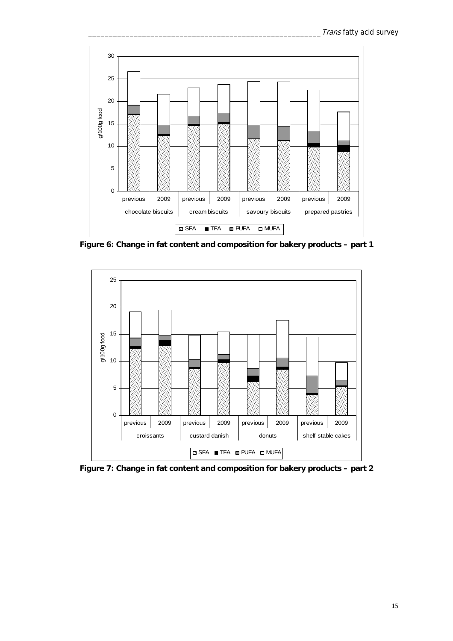

**Figure 6: Change in fat content and composition for bakery products – part 1** 



**Figure 7: Change in fat content and composition for bakery products – part 2**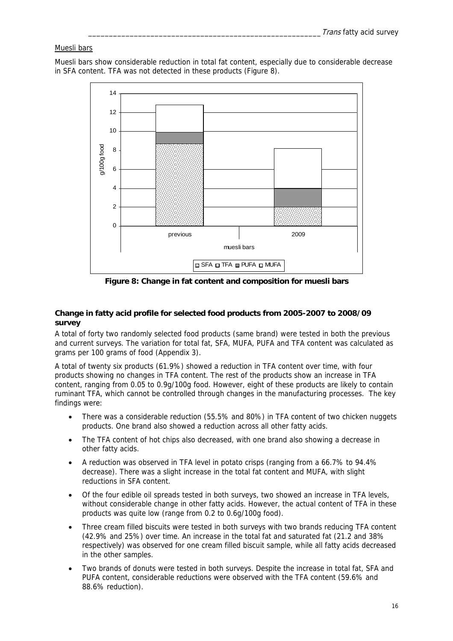#### Muesli bars

Muesli bars show considerable reduction in total fat content, especially due to considerable decrease in SFA content. TFA was not detected in these products (Figure 8).



**Figure 8: Change in fat content and composition for muesli bars** 

#### **Change in fatty acid profile for selected food products from 2005-2007 to 2008/09 survey**

A total of forty two randomly selected food products (same brand) were tested in both the previous and current surveys. The variation for total fat, SFA, MUFA, PUFA and TFA content was calculated as grams per 100 grams of food (Appendix 3).

A total of twenty six products (61.9%) showed a reduction in TFA content over time, with four products showing no changes in TFA content. The rest of the products show an increase in TFA content, ranging from 0.05 to 0.9g/100g food. However, eight of these products are likely to contain ruminant TFA, which cannot be controlled through changes in the manufacturing processes. The key findings were:

- There was a considerable reduction (55.5% and 80%) in TFA content of two chicken nuggets products. One brand also showed a reduction across all other fatty acids.
- The TFA content of hot chips also decreased, with one brand also showing a decrease in other fatty acids.
- A reduction was observed in TFA level in potato crisps (ranging from a 66.7% to 94.4% decrease). There was a slight increase in the total fat content and MUFA, with slight reductions in SFA content.
- Of the four edible oil spreads tested in both surveys, two showed an increase in TFA levels, without considerable change in other fatty acids. However, the actual content of TFA in these products was quite low (range from 0.2 to 0.6g/100g food).
- Three cream filled biscuits were tested in both surveys with two brands reducing TFA content (42.9% and 25%) over time. An increase in the total fat and saturated fat (21.2 and 38% respectively) was observed for one cream filled biscuit sample, while all fatty acids decreased in the other samples.
- Two brands of donuts were tested in both surveys. Despite the increase in total fat, SFA and PUFA content, considerable reductions were observed with the TFA content (59.6% and 88.6% reduction).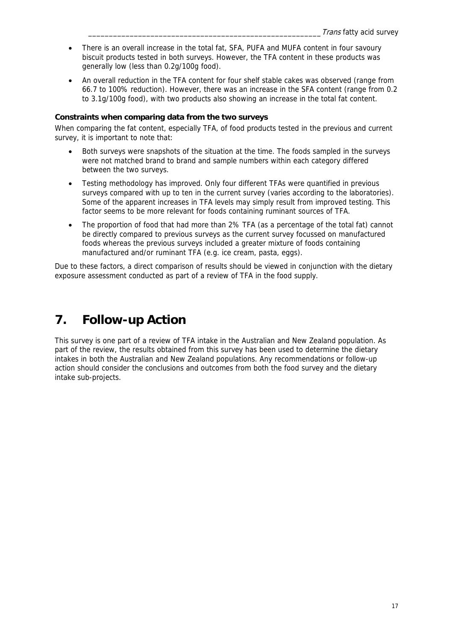- There is an overall increase in the total fat, SFA, PUFA and MUFA content in four savoury biscuit products tested in both surveys. However, the TFA content in these products was generally low (less than 0.2g/100g food).
- An overall reduction in the TFA content for four shelf stable cakes was observed (range from 66.7 to 100% reduction). However, there was an increase in the SFA content (range from 0.2 to 3.1g/100g food), with two products also showing an increase in the total fat content.

#### **Constraints when comparing data from the two surveys**

When comparing the fat content, especially TFA, of food products tested in the previous and current survey, it is important to note that:

- Both surveys were snapshots of the situation at the time. The foods sampled in the surveys were not matched brand to brand and sample numbers within each category differed between the two surveys.
- Testing methodology has improved. Only four different TFAs were quantified in previous surveys compared with up to ten in the current survey (varies according to the laboratories). Some of the apparent increases in TFA levels may simply result from improved testing. This factor seems to be more relevant for foods containing ruminant sources of TFA.
- The proportion of food that had more than 2% TFA (as a percentage of the total fat) cannot be directly compared to previous surveys as the current survey focussed on manufactured foods whereas the previous surveys included a greater mixture of foods containing manufactured and/or ruminant TFA (e.g. ice cream, pasta, eggs).

Due to these factors, a direct comparison of results should be viewed in conjunction with the dietary exposure assessment conducted as part of a review of TFA in the food supply.

### **7. Follow-up Action**

This survey is one part of a review of TFA intake in the Australian and New Zealand population. As part of the review, the results obtained from this survey has been used to determine the dietary intakes in both the Australian and New Zealand populations. Any recommendations or follow-up action should consider the conclusions and outcomes from both the food survey and the dietary intake sub-projects.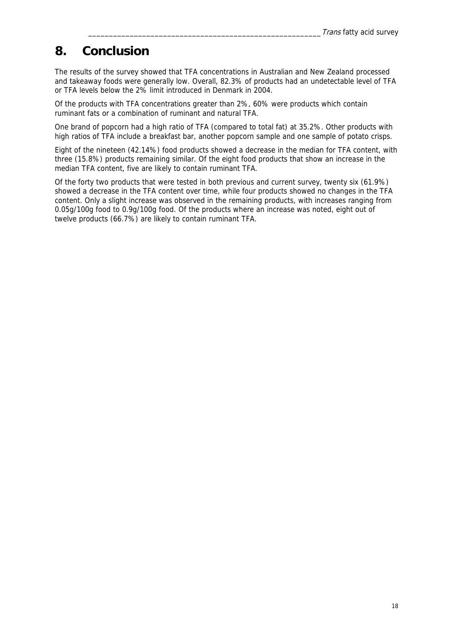### **8. Conclusion**

The results of the survey showed that TFA concentrations in Australian and New Zealand processed and takeaway foods were generally low. Overall, 82.3% of products had an undetectable level of TFA or TFA levels below the 2% limit introduced in Denmark in 2004.

Of the products with TFA concentrations greater than 2%, 60% were products which contain ruminant fats or a combination of ruminant and natural TFA.

One brand of popcorn had a high ratio of TFA (compared to total fat) at 35.2%. Other products with high ratios of TFA include a breakfast bar, another popcorn sample and one sample of potato crisps.

Eight of the nineteen (42.14%) food products showed a decrease in the median for TFA content, with three (15.8%) products remaining similar. Of the eight food products that show an increase in the median TFA content, five are likely to contain ruminant TFA.

Of the forty two products that were tested in both previous and current survey, twenty six (61.9%) showed a decrease in the TFA content over time, while four products showed no changes in the TFA content. Only a slight increase was observed in the remaining products, with increases ranging from 0.05g/100g food to 0.9g/100g food. Of the products where an increase was noted, eight out of twelve products (66.7%) are likely to contain ruminant TFA.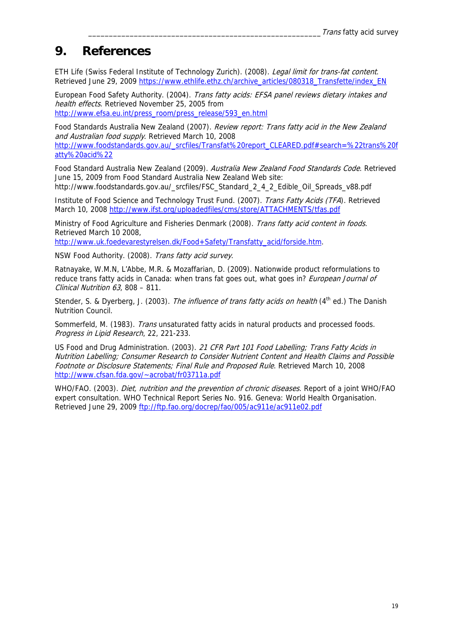### **9. References**

ETH Life (Swiss Federal Institute of Technology Zurich). (2008). Legal limit for trans-fat content. Retrieved June 29, 2009 https://www.ethlife.ethz.ch/archive\_articles/080318\_Transfette/index\_EN

European Food Safety Authority. (2004). Trans fatty acids: EFSA panel reviews dietary intakes and health effects. Retrieved November 25, 2005 from http://www.efsa.eu.int/press\_room/press\_release/593\_en.html

Food Standards Australia New Zealand (2007). Review report: Trans fatty acid in the New Zealand and Australian food supply. Retrieved March 10, 2008 http://www.foodstandards.gov.au/\_srcfiles/Transfat%20report\_CLEARED.pdf#search=%22trans%20f atty%20acid%22

Food Standard Australia New Zealand (2009). Australia New Zealand Food Standards Code. Retrieved June 15, 2009 from Food Standard Australia New Zealand Web site: http://www.foodstandards.gov.au/\_srcfiles/FSC\_Standard\_2\_4\_2\_Edible\_Oil\_Spreads\_v88.pdf

Institute of Food Science and Technology Trust Fund. (2007). Trans Fatty Acids (TFA). Retrieved March 10, 2008 http://www.ifst.org/uploadedfiles/cms/store/ATTACHMENTS/tfas.pdf

Ministry of Food Agriculture and Fisheries Denmark (2008). Trans fatty acid content in foods. Retrieved March 10 2008,

http://www.uk.foedevarestyrelsen.dk/Food+Safety/Transfatty\_acid/forside.htm.

NSW Food Authority. (2008). Trans fatty acid survey.

Ratnayake, W.M.N, L'Abbe, M.R. & Mozaffarian, D. (2009). Nationwide product reformulations to reduce trans fatty acids in Canada: when trans fat goes out, what goes in? European Journal of Clinical Nutrition 63, 808 – 811.

Stender, S. & Dyerberg, J. (2003). The influence of trans fatty acids on health (4<sup>th</sup> ed.) The Danish Nutrition Council.

Sommerfeld, M. (1983). Trans unsaturated fatty acids in natural products and processed foods. Progress in Lipid Research, 22, 221-233.

US Food and Drug Administration. (2003). 21 CFR Part 101 Food Labelling; Trans Fatty Acids in Nutrition Labelling; Consumer Research to Consider Nutrient Content and Health Claims and Possible Footnote or Disclosure Statements; Final Rule and Proposed Rule. Retrieved March 10, 2008 http://www.cfsan.fda.gov/~acrobat/fr03711a.pdf

WHO/FAO. (2003). Diet, nutrition and the prevention of chronic diseases. Report of a joint WHO/FAO expert consultation. WHO Technical Report Series No. 916. Geneva: World Health Organisation. Retrieved June 29, 2009 ftp://ftp.fao.org/docrep/fao/005/ac911e/ac911e02.pdf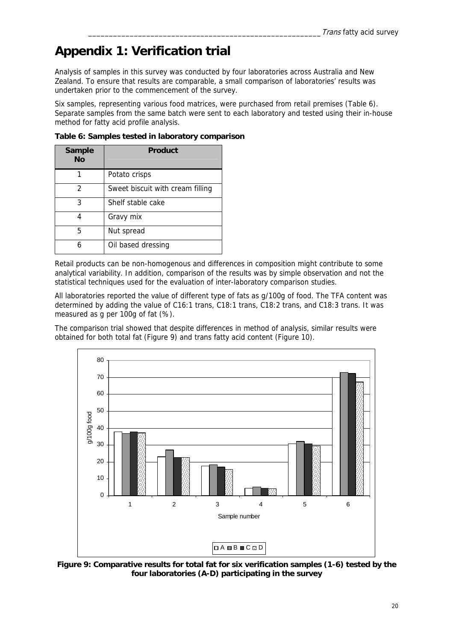# **Appendix 1: Verification trial**

Analysis of samples in this survey was conducted by four laboratories across Australia and New Zealand. To ensure that results are comparable, a small comparison of laboratories' results was undertaken prior to the commencement of the survey.

Six samples, representing various food matrices, were purchased from retail premises (Table 6). Separate samples from the same batch were sent to each laboratory and tested using their in-house method for fatty acid profile analysis.

| <b>Sample</b><br>Nο | Product                          |
|---------------------|----------------------------------|
|                     | Potato crisps                    |
| 2                   | Sweet biscuit with cream filling |
| 3                   | Shelf stable cake                |
|                     | Gravy mix                        |
| 5                   | Nut spread                       |
|                     | Oil based dressing               |

**Table 6: Samples tested in laboratory comparison** 

Retail products can be non-homogenous and differences in composition might contribute to some analytical variability. In addition, comparison of the results was by simple observation and not the statistical techniques used for the evaluation of inter-laboratory comparison studies.

All laboratories reported the value of different type of fats as g/100g of food. The TFA content was determined by adding the value of C16:1 trans, C18:1 trans, C18:2 trans, and C18:3 trans. It was measured as g per 100g of fat (%).

The comparison trial showed that despite differences in method of analysis, similar results were obtained for both total fat (Figure 9) and trans fatty acid content (Figure 10).



**Figure 9: Comparative results for total fat for six verification samples (1-6) tested by the four laboratories (A-D) participating in the survey**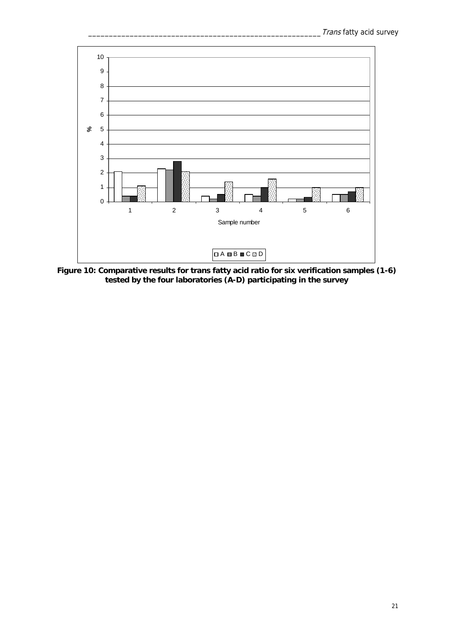

**Figure 10: Comparative results for trans fatty acid ratio for six verification samples (1-6) tested by the four laboratories (A-D) participating in the survey**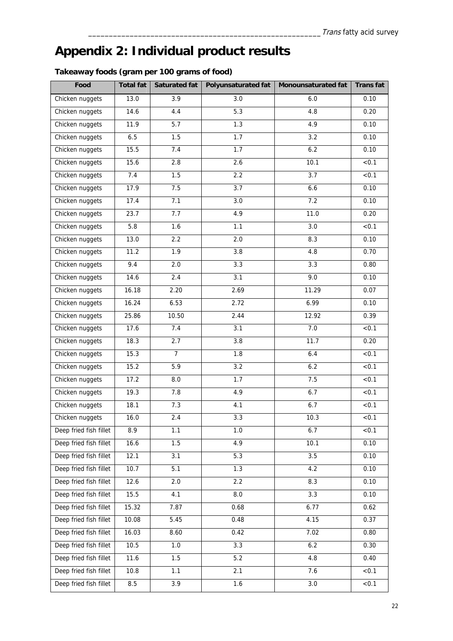# **Appendix 2: Individual product results**

|  |  | Takeaway foods (gram per 100 grams of food) |
|--|--|---------------------------------------------|
|--|--|---------------------------------------------|

| Food                   | <b>Total fat</b>  | <b>Saturated fat</b> | Polyunsaturated fat | Monounsaturated fat | <b>Transfat</b> |
|------------------------|-------------------|----------------------|---------------------|---------------------|-----------------|
| Chicken nuggets        | 13.0              | 3.9                  | 3.0                 | 6.0                 | 0.10            |
| Chicken nuggets        | 14.6              | 4.4                  | 5.3                 | 4.8                 | 0.20            |
| Chicken nuggets        | 11.9              | 5.7                  | 1.3                 | 4.9                 | 0.10            |
| Chicken nuggets        | 6.5               | 1.5                  | 1.7                 | 3.2                 | 0.10            |
| Chicken nuggets        | 15.5              | 7.4                  | 1.7                 | 6.2                 | 0.10            |
| Chicken nuggets        | 15.6              | 2.8                  | 2.6                 | $\overline{10.1}$   | < 0.1           |
| Chicken nuggets        | 7.4               | 1.5                  | 2.2                 | 3.7                 | < 0.1           |
| Chicken nuggets        | 17.9              | 7.5                  | 3.7                 | 6.6                 | 0.10            |
| Chicken nuggets        | 17.4              | 7.1                  | 3.0                 | 7.2                 | 0.10            |
| Chicken nuggets        | 23.7              | 7.7                  | 4.9                 | 11.0                | 0.20            |
| Chicken nuggets        | 5.8               | 1.6                  | 1.1                 | 3.0                 | < 0.1           |
| Chicken nuggets        | 13.0              | 2.2                  | 2.0                 | 8.3                 | 0.10            |
| Chicken nuggets        | 11.2              | 1.9                  | 3.8                 | 4.8                 | 0.70            |
| Chicken nuggets        | 9.4               | 2.0                  | 3.3                 | 3.3                 | 0.80            |
| Chicken nuggets        | 14.6              | 2.4                  | 3.1                 | 9.0                 | 0.10            |
| Chicken nuggets        | 16.18             | 2.20                 | 2.69                | 11.29               | 0.07            |
| Chicken nuggets        | 16.24             | 6.53                 | 2.72                | 6.99                | 0.10            |
| Chicken nuggets        | 25.86             | 10.50                | 2.44                | 12.92               | 0.39            |
| Chicken nuggets        | 17.6              | 7.4                  | 3.1                 | 7.0                 | < 0.1           |
| Chicken nuggets        | 18.3              | 2.7                  | 3.8                 | 11.7                | 0.20            |
| Chicken nuggets        | 15.3              | $\overline{7}$       | 1.8                 | 6.4                 | < 0.1           |
| Chicken nuggets        | 15.2              | 5.9                  | 3.2                 | 6.2                 | < 0.1           |
| Chicken nuggets        | 17.2              | 8.0                  | 1.7                 | 7.5                 | < 0.1           |
| Chicken nuggets        | 19.3              | 7.8                  | 4.9                 | 6.7                 | < 0.1           |
| Chicken nuggets        | 18.1              | 7.3                  | 4.1                 | 6.7                 | < 0.1           |
| Chicken nuggets        | 16.0              | 2.4                  | 3.3                 | 10.3                | < 0.1           |
| Deep fried fish fillet | 8.9               | 1.1                  | 1.0                 | 6.7                 | < 0.1           |
| Deep fried fish fillet | 16.6              | 1.5                  | 4.9                 | 10.1                | 0.10            |
| Deep fried fish fillet | $\overline{12.1}$ | 3.1                  | 5.3                 | 3.5                 | 0.10            |
| Deep fried fish fillet | 10.7              | 5.1                  | 1.3                 | 4.2                 | 0.10            |
| Deep fried fish fillet | 12.6              | 2.0                  | 2.2                 | 8.3                 | 0.10            |
| Deep fried fish fillet | 15.5              | 4.1                  | 8.0                 | 3.3                 | 0.10            |
| Deep fried fish fillet | 15.32             | 7.87                 | 0.68                | 6.77                | 0.62            |
| Deep fried fish fillet | 10.08             | 5.45                 | 0.48                | 4.15                | 0.37            |
| Deep fried fish fillet | 16.03             | 8.60                 | 0.42                | 7.02                | 0.80            |
| Deep fried fish fillet | $10.5$            | 1.0                  | 3.3                 | 6.2                 | 0.30            |
| Deep fried fish fillet | 11.6              | 1.5                  | 5.2                 | 4.8                 | 0.40            |
| Deep fried fish fillet | 10.8              | 1.1                  | 2.1                 | 7.6                 | < 0.1           |
| Deep fried fish fillet | 8.5               | 3.9                  | 1.6                 | $3.0\,$             | < 0.1           |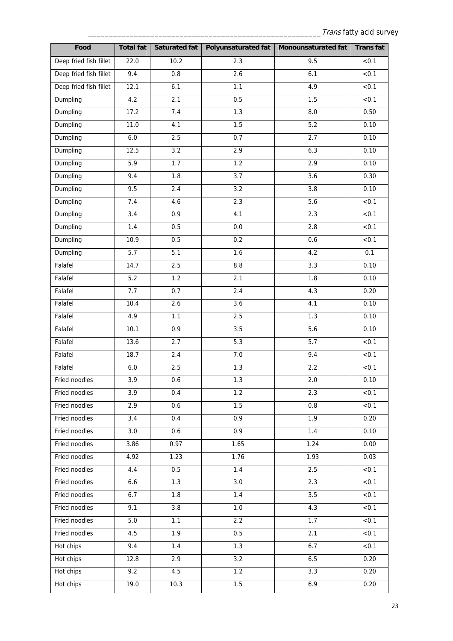| Food                   | <b>Total fat</b> | <b>Saturated fat</b> | <b>Polyunsaturated fat</b> | Monounsaturated fat | <b>Transfat</b>   |
|------------------------|------------------|----------------------|----------------------------|---------------------|-------------------|
| Deep fried fish fillet | 22.0             | 10.2                 | 2.3                        | 9.5                 | < 0.1             |
| Deep fried fish fillet | 9.4              | 0.8                  | 2.6                        | 6.1                 | < 0.1             |
| Deep fried fish fillet | 12.1             | 6.1                  | 1.1                        | 4.9                 | < 0.1             |
| Dumpling               | 4.2              | 2.1                  | 0.5                        | 1.5                 | < 0.1             |
| Dumpling               | 17.2             | 7.4                  | 1.3                        | $8.0\,$             | 0.50              |
| Dumpling               | 11.0             | 4.1                  | 1.5                        | 5.2                 | 0.10              |
| Dumpling               | $6.0\,$          | 2.5                  | 0.7                        | 2.7                 | 0.10              |
| Dumpling               | 12.5             | 3.2                  | 2.9                        | 6.3                 | 0.10              |
| Dumpling               | 5.9              | $\overline{1.7}$     | 1.2                        | 2.9                 | 0.10              |
| Dumpling               | 9.4              | 1.8                  | 3.7                        | 3.6                 | 0.30              |
| Dumpling               | 9.5              | 2.4                  | 3.2                        | 3.8                 | 0.10              |
| Dumpling               | 7.4              | 4.6                  | 2.3                        | 5.6                 | < 0.1             |
| Dumpling               | 3.4              | 0.9                  | 4.1                        | 2.3                 | < 0.1             |
| Dumpling               | 1.4              | 0.5                  | $0.0\,$                    | 2.8                 | < 0.1             |
| Dumpling               | 10.9             | 0.5                  | 0.2                        | 0.6                 | < 0.1             |
| Dumpling               | 5.7              | 5.1                  | 1.6                        | 4.2                 | 0.1               |
| Falafel                | 14.7             | 2.5                  | $\bf 8.8$                  | 3.3                 | 0.10              |
| Falafel                | 5.2              | 1.2                  | 2.1                        | 1.8                 | 0.10              |
| Falafel                | 7.7              | 0.7                  | 2.4                        | 4.3                 | 0.20              |
| Falafel                | 10.4             | 2.6                  | 3.6                        | 4.1                 | 0.10              |
| Falafel                | 4.9              | 1.1                  | 2.5                        | 1.3                 | 0.10              |
| Falafel                | 10.1             | 0.9                  | 3.5                        | 5.6                 | 0.10              |
| Falafel                | 13.6             | 2.7                  | 5.3                        | $\overline{5.7}$    | < 0.1             |
| Falafel                | 18.7             | 2.4                  | $7.0\,$                    | 9.4                 | < 0.1             |
| Falafel                | $6.0\,$          | 2.5                  | 1.3                        | 2.2                 | < 0.1             |
| Fried noodles          | $\overline{3.9}$ | 0.6                  | 1.3                        | 2.0                 | 0.10              |
| Fried noodles          | 3.9              | 0.4                  | 1.2                        | 2.3                 | < 0.1             |
| Fried noodles          | 2.9              | 0.6                  | 1.5                        | $0.8\,$             | < 0.1             |
| Fried noodles          | 3.4              | 0.4                  | 0.9                        | 1.9                 | 0.20              |
| Fried noodles          | 3.0              | 0.6                  | 0.9                        | 1.4                 | 0.10              |
| Fried noodles          | 3.86             | 0.97                 | 1.65                       | 1.24                | 0.00              |
| Fried noodles          | 4.92             | 1.23                 | 1.76                       | 1.93                | 0.03              |
| Fried noodles          | 4.4              | 0.5                  | 1.4                        | 2.5                 | < 0.1             |
| Fried noodles          | 6.6              | 1.3                  | $3.0\,$                    | 2.3                 | $\overline{50.1}$ |
| Fried noodles          | 6.7              | 1.8                  | $1.4$                      | 3.5                 | < 0.1             |
| Fried noodles          | 9.1              | 3.8                  | $1.0$                      | 4.3                 | < 0.1             |
| Fried noodles          | 5.0              | 1.1                  | 2.2                        | 1.7                 | < 0.1             |
| Fried noodles          | 4.5              | 1.9                  | 0.5                        | 2.1                 | < 0.1             |
| Hot chips              | 9.4              | $1.4$                | 1.3                        | 6.7                 | < 0.1             |
| Hot chips              | 12.8             | 2.9                  | 3.2                        | 6.5                 | 0.20              |
| Hot chips              | 9.2              | 4.5                  | 1.2                        | 3.3                 | 0.20              |
| Hot chips              | 19.0             | 10.3                 | $1.5\,$                    | 6.9                 | 0.20              |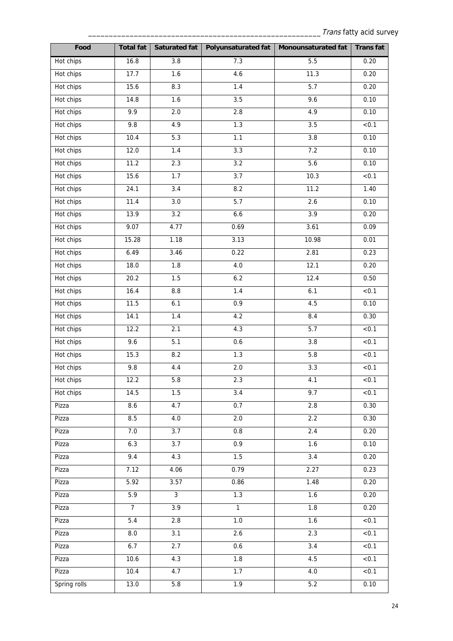| Food         | <b>Total fat</b> | Saturated fat    | Polyunsaturated fat | Monounsaturated fat | <b>Transfat</b>   |
|--------------|------------------|------------------|---------------------|---------------------|-------------------|
| Hot chips    | 16.8             | 3.8              | 7.3                 | 5.5                 | 0.20              |
| Hot chips    | 17.7             | 1.6              | 4.6                 | 11.3                | 0.20              |
| Hot chips    | 15.6             | 8.3              | $1.4$               | 5.7                 | 0.20              |
| Hot chips    | 14.8             | 1.6              | 3.5                 | 9.6                 | 0.10              |
| Hot chips    | 9.9              | $2.0\,$          | $2.8\,$             | 4.9                 | 0.10              |
| Hot chips    | 9.8              | 4.9              | 1.3                 | 3.5                 | < 0.1             |
| Hot chips    | 10.4             | 5.3              | 1.1                 | 3.8                 | 0.10              |
| Hot chips    | 12.0             | 1.4              | 3.3                 | 7.2                 | 0.10              |
| Hot chips    | 11.2             | 2.3              | 3.2                 | 5.6                 | 0.10              |
| Hot chips    | 15.6             | 1.7              | $\overline{3.7}$    | 10.3                | < 0.1             |
| Hot chips    | 24.1             | 3.4              | 8.2                 | 11.2                | 1.40              |
| Hot chips    | 11.4             | $3.0\,$          | 5.7                 | 2.6                 | 0.10              |
| Hot chips    | 13.9             | $\overline{3.2}$ | 6.6                 | $\overline{3.9}$    | 0.20              |
| Hot chips    | 9.07             | 4.77             | 0.69                | 3.61                | 0.09              |
| Hot chips    | 15.28            | 1.18             | 3.13                | 10.98               | 0.01              |
| Hot chips    | 6.49             | 3.46             | 0.22                | 2.81                | 0.23              |
| Hot chips    | 18.0             | 1.8              | $4.0\,$             | 12.1                | 0.20              |
| Hot chips    | 20.2             | 1.5              | 6.2                 | 12.4                | 0.50              |
| Hot chips    | 16.4             | $\bf 8.8$        | $1.4$               | 6.1                 | < 0.1             |
| Hot chips    | 11.5             | 6.1              | 0.9                 | 4.5                 | 0.10              |
| Hot chips    | 14.1             | 1.4              | 4.2                 | 8.4                 | 0.30              |
| Hot chips    | 12.2             | 2.1              | 4.3                 | 5.7                 | < 0.1             |
| Hot chips    | 9.6              | 5.1              | 0.6                 | 3.8                 | < 0.1             |
| Hot chips    | 15.3             | 8.2              | 1.3                 | 5.8                 | < 0.1             |
| Hot chips    | 9.8              | $4.4\,$          | $2.0\,$             | 3.3                 | < 0.1             |
| Hot chips    | 12.2             | 5.8              | 2.3                 | 4.1                 | < 0.1             |
| Hot chips    | 14.5             | 1.5              | 3.4                 | 9.7                 | < 0.1             |
| Pizza        | 8.6              | 4.7              | 0.7                 | 2.8                 | 0.30              |
| Pizza        | 8.5              | 4.0              | 2.0                 | 2.2                 | 0.30              |
| Pizza        | 7.0              | $\overline{3.7}$ | 0.8                 | 2.4                 | 0.20              |
| Pizza        | 6.3              | 3.7              | 0.9                 | 1.6                 | 0.10              |
| Pizza        | 9.4              | 4.3              | 1.5                 | 3.4                 | 0.20              |
| Pizza        | 7.12             | 4.06             | 0.79                | 2.27                | 0.23              |
| Pizza        | 5.92             | 3.57             | 0.86                | 1.48                | 0.20              |
| Pizza        | 5.9              | 3                | 1.3                 | 1.6                 | 0.20              |
| Pizza        | $\overline{7}$   | 3.9              | $\overline{1}$      | 1.8                 | 0.20              |
| Pizza        | 5.4              | $2.8\,$          | $1.0\,$             | 1.6                 | < 0.1             |
| Pizza        | 8.0              | 3.1              | 2.6                 | 2.3                 | < 0.1             |
| Pizza        | 6.7              | 2.7              | 0.6                 | $\overline{3.4}$    | $\overline{50.1}$ |
| Pizza        | 10.6             | 4.3              | 1.8                 | 4.5                 | < 0.1             |
| Pizza        | 10.4             | 4.7              | 1.7                 | 4.0                 | < 0.1             |
| Spring rolls | 13.0             | 5.8              | 1.9                 | 5.2                 | 0.10              |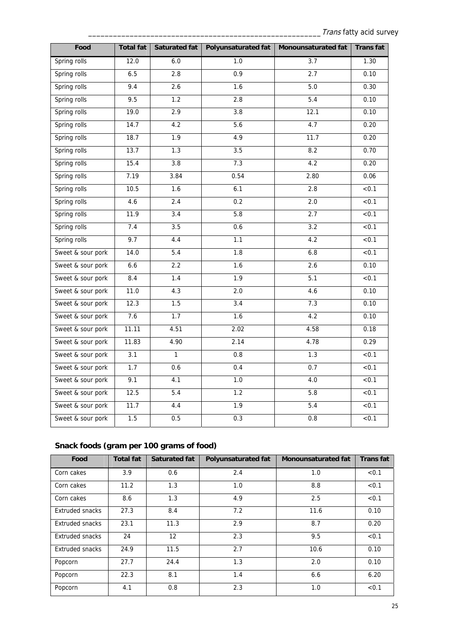| Food              | <b>Total fat</b> | Saturated fat    | <b>Polyunsaturated fat</b> | Monounsaturated fat | <b>Transfat</b>   |
|-------------------|------------------|------------------|----------------------------|---------------------|-------------------|
| Spring rolls      | 12.0             | 6.0              | 1.0                        | $\overline{3.7}$    | 1.30              |
| Spring rolls      | 6.5              | 2.8              | $\overline{0.9}$           | 2.7                 | 0.10              |
| Spring rolls      | 9.4              | 2.6              | 1.6                        | 5.0                 | 0.30              |
| Spring rolls      | 9.5              | 1.2              | 2.8                        | 5.4                 | 0.10              |
| Spring rolls      | 19.0             | 2.9              | 3.8                        | 12.1                | 0.10              |
| Spring rolls      | 14.7             | 4.2              | 5.6                        | 4.7                 | 0.20              |
| Spring rolls      | 18.7             | 1.9              | 4.9                        | 11.7                | 0.20              |
| Spring rolls      | 13.7             | 1.3              | 3.5                        | 8.2                 | 0.70              |
| Spring rolls      | 15.4             | $\overline{3.8}$ | 7.3                        | 4.2                 | 0.20              |
| Spring rolls      | 7.19             | 3.84             | 0.54                       | 2.80                | 0.06              |
| Spring rolls      | 10.5             | 1.6              | 6.1                        | 2.8                 | $\overline{50.1}$ |
| Spring rolls      | 4.6              | $\overline{2.4}$ | 0.2                        | 2.0                 | < 0.1             |
| Spring rolls      | 11.9             | $\overline{3.4}$ | 5.8                        | 2.7                 | < 0.1             |
| Spring rolls      | 7.4              | 3.5              | 0.6                        | 3.2                 | < 0.1             |
| Spring rolls      | 9.7              | 4.4              | 1.1                        | 4.2                 | < 0.1             |
| Sweet & sour pork | 14.0             | 5.4              | 1.8                        | 6.8                 | < 0.1             |
| Sweet & sour pork | 6.6              | 2.2              | 1.6                        | 2.6                 | 0.10              |
| Sweet & sour pork | 8.4              | 1.4              | 1.9                        | 5.1                 | < 0.1             |
| Sweet & sour pork | 11.0             | 4.3              | 2.0                        | 4.6                 | 0.10              |
| Sweet & sour pork | 12.3             | 1.5              | 3.4                        | 7.3                 | 0.10              |
| Sweet & sour pork | 7.6              | 1.7              | 1.6                        | 4.2                 | 0.10              |
| Sweet & sour pork | 11.11            | 4.51             | 2.02                       | 4.58                | 0.18              |
| Sweet & sour pork | 11.83            | 4.90             | 2.14                       | 4.78                | 0.29              |
| Sweet & sour pork | $\overline{3.1}$ | 1                | $\overline{0.8}$           | 1.3                 | < 0.1             |
| Sweet & sour pork | 1.7              | 0.6              | 0.4                        | 0.7                 | < 0.1             |
| Sweet & sour pork | 9.1              | 4.1              | 1.0                        | 4.0                 | < 0.1             |
| Sweet & sour pork | 12.5             | 5.4              | 1.2                        | 5.8                 | < 0.1             |
| Sweet & sour pork | 11.7             | 4.4              | 1.9                        | 5.4                 | < 0.1             |
| Sweet & sour pork | 1.5              | 0.5              | 0.3                        | 0.8                 | < 0.1             |

### **Snack foods (gram per 100 grams of food)**

| Food                   | <b>Total fat</b> | Saturated fat | <b>Polyunsaturated fat</b> | <b>Monounsaturated fat</b> | <b>Transfat</b> |
|------------------------|------------------|---------------|----------------------------|----------------------------|-----------------|
| Corn cakes             | 3.9              | 0.6           | 2.4                        | 1.0                        | < 0.1           |
| Corn cakes             | 11.2             | 1.3           | 1.0                        | 8.8                        | < 0.1           |
| Corn cakes             | 8.6              | 1.3           | 4.9                        | 2.5                        | < 0.1           |
| Extruded snacks        | 27.3             | 8.4           | 7.2                        | 11.6                       | 0.10            |
| Extruded snacks        | 23.1             | 11.3          | 2.9                        | 8.7                        | 0.20            |
| Extruded snacks        | 24               | 12            | 2.3                        | 9.5                        | < 0.1           |
| <b>Extruded snacks</b> | 24.9             | 11.5          | 2.7                        | 10.6                       | 0.10            |
| Popcorn                | 27.7             | 24.4          | 1.3                        | 2.0                        | 0.10            |
| Popcorn                | 22.3             | 8.1           | 1.4                        | 6.6                        | 6.20            |
| Popcorn                | 4.1              | 0.8           | 2.3                        | 1.0                        | < 0.1           |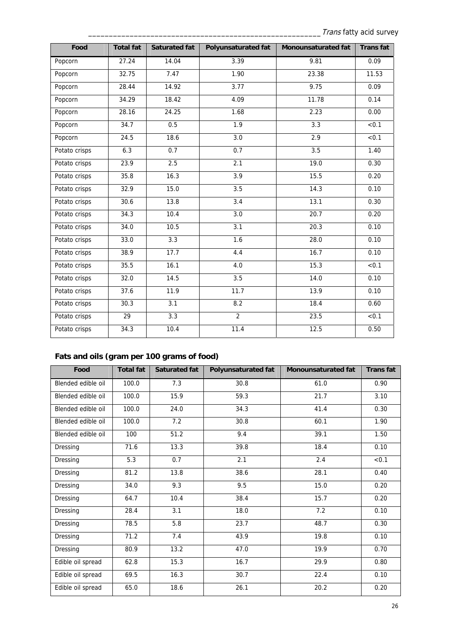| Food          | <b>Total fat</b> | <b>Saturated fat</b> | <b>Polyunsaturated fat</b> | Monounsaturated fat | <b>Transfat</b> |
|---------------|------------------|----------------------|----------------------------|---------------------|-----------------|
| Popcorn       | 27.24            | 14.04                | 3.39                       | 9.81                | 0.09            |
| Popcorn       | 32.75            | 7.47                 | 1.90                       | 23.38               | 11.53           |
| Popcorn       | 28.44            | 14.92                | 3.77                       | 9.75                | 0.09            |
| Popcorn       | 34.29            | 18.42                | 4.09                       | 11.78               | 0.14            |
| Popcorn       | 28.16            | 24.25                | 1.68                       | 2.23                | 0.00            |
| Popcorn       | 34.7             | 0.5                  | 1.9                        | 3.3                 | < 0.1           |
| Popcorn       | 24.5             | 18.6                 | 3.0                        | 2.9                 | < 0.1           |
| Potato crisps | 6.3              | 0.7                  | 0.7                        | 3.5                 | 1.40            |
| Potato crisps | 23.9             | 2.5                  | 2.1                        | 19.0                | 0.30            |
| Potato crisps | 35.8             | 16.3                 | 3.9                        | 15.5                | 0.20            |
| Potato crisps | 32.9             | 15.0                 | 3.5                        | 14.3                | 0.10            |
| Potato crisps | 30.6             | 13.8                 | $\overline{3.4}$           | 13.1                | 0.30            |
| Potato crisps | 34.3             | 10.4                 | 3.0                        | 20.7                | 0.20            |
| Potato crisps | 34.0             | 10.5                 | 3.1                        | 20.3                | 0.10            |
| Potato crisps | 33.0             | $\overline{3.3}$     | 1.6                        | 28.0                | 0.10            |
| Potato crisps | 38.9             | 17.7                 | 4.4                        | 16.7                | 0.10            |
| Potato crisps | 35.5             | 16.1                 | 4.0                        | 15.3                | < 0.1           |
| Potato crisps | 32.0             | 14.5                 | 3.5                        | 14.0                | 0.10            |
| Potato crisps | 37.6             | 11.9                 | 11.7                       | 13.9                | 0.10            |
| Potato crisps | 30.3             | 3.1                  | 8.2                        | 18.4                | 0.60            |
| Potato crisps | 29               | 3.3                  | $\overline{2}$             | 23.5                | < 0.1           |
| Potato crisps | 34.3             | 10.4                 | 11.4                       | 12.5                | 0.50            |

### **Fats and oils (gram per 100 grams of food)**

| Food               | <b>Total fat</b> | <b>Saturated fat</b> | <b>Polyunsaturated fat</b> | <b>Monounsaturated fat</b> | <b>Transfat</b> |
|--------------------|------------------|----------------------|----------------------------|----------------------------|-----------------|
| Blended edible oil | 100.0            | 7.3                  | 30.8                       | 61.0                       | 0.90            |
| Blended edible oil | 100.0            | 15.9                 | 59.3                       | 21.7                       | 3.10            |
| Blended edible oil | 100.0            | 24.0                 | 34.3                       | 41.4                       | 0.30            |
| Blended edible oil | 100.0            | 7.2                  | 30.8                       | 60.1                       | 1.90            |
| Blended edible oil | 100              | 51.2                 | 9.4                        | 39.1                       | 1.50            |
| Dressing           | 71.6             | 13.3                 | 39.8                       | 18.4                       | 0.10            |
| Dressing           | 5.3              | 0.7                  | 2.1                        | 2.4                        | < 0.1           |
| Dressing           | 81.2             | 13.8                 | 38.6                       | 28.1                       | 0.40            |
| Dressing           | 34.0             | 9.3                  | 9.5                        | 15.0                       | 0.20            |
| Dressing           | 64.7             | 10.4                 | 38.4                       | 15.7                       | 0.20            |
| Dressing           | 28.4             | 3.1                  | 18.0                       | 7.2                        | 0.10            |
| Dressing           | 78.5             | 5.8                  | 23.7                       | 48.7                       | 0.30            |
| Dressing           | 71.2             | 7.4                  | 43.9                       | 19.8                       | 0.10            |
| Dressing           | 80.9             | 13.2                 | 47.0                       | 19.9                       | 0.70            |
| Edible oil spread  | 62.8             | 15.3                 | 16.7                       | 29.9                       | 0.80            |
| Edible oil spread  | 69.5             | 16.3                 | 30.7                       | 22.4                       | 0.10            |
| Edible oil spread  | 65.0             | 18.6                 | 26.1                       | 20.2                       | 0.20            |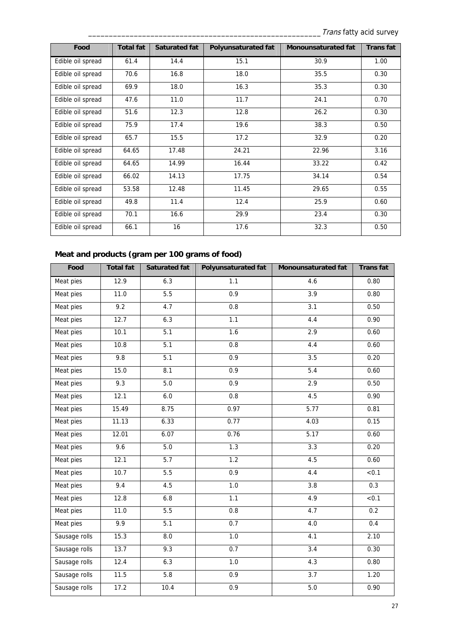| Food              | <b>Total fat</b> | Saturated fat | <b>Polyunsaturated fat</b> | <b>Monounsaturated fat</b> | <b>Transfat</b> |
|-------------------|------------------|---------------|----------------------------|----------------------------|-----------------|
| Edible oil spread | 61.4             | 14.4          | 15.1                       | 30.9                       | 1.00            |
| Edible oil spread | 70.6             | 16.8          | 18.0                       | 35.5                       | 0.30            |
| Edible oil spread | 69.9             | 18.0          | 16.3                       | 35.3                       | 0.30            |
| Edible oil spread | 47.6             | 11.0          | 11.7                       | 24.1                       | 0.70            |
| Edible oil spread | 51.6             | 12.3          | 12.8                       | 26.2                       | 0.30            |
| Edible oil spread | 75.9             | 17.4          | 19.6                       | 38.3                       | 0.50            |
| Edible oil spread | 65.7             | 15.5          | 17.2                       | 32.9                       | 0.20            |
| Edible oil spread | 64.65            | 17.48         | 24.21                      | 22.96                      | 3.16            |
| Edible oil spread | 64.65            | 14.99         | 16.44                      | 33.22                      | 0.42            |
| Edible oil spread | 66.02            | 14.13         | 17.75                      | 34.14                      | 0.54            |
| Edible oil spread | 53.58            | 12.48         | 11.45                      | 29.65                      | 0.55            |
| Edible oil spread | 49.8             | 11.4          | 12.4                       | 25.9                       | 0.60            |
| Edible oil spread | 70.1             | 16.6          | 29.9                       | 23.4                       | 0.30            |
| Edible oil spread | 66.1             | 16            | 17.6                       | 32.3                       | 0.50            |

### **Meat and products (gram per 100 grams of food)**

| Food          | <b>Total fat</b> | <b>Saturated fat</b> | <b>Polyunsaturated fat</b> | Monounsaturated fat | <b>Transfat</b> |
|---------------|------------------|----------------------|----------------------------|---------------------|-----------------|
| Meat pies     | 12.9             | 6.3                  | 1.1                        | 4.6                 | 0.80            |
| Meat pies     | 11.0             | $\overline{5.5}$     | 0.9                        | 3.9                 | 0.80            |
| Meat pies     | 9.2              | 4.7                  | 0.8                        | $\overline{3.1}$    | 0.50            |
| Meat pies     | 12.7             | 6.3                  | 1.1                        | 4.4                 | 0.90            |
| Meat pies     | 10.1             | $\overline{5.1}$     | 1.6                        | 2.9                 | 0.60            |
| Meat pies     | 10.8             | $\overline{5.1}$     | 0.8                        | 4.4                 | 0.60            |
| Meat pies     | 9.8              | 5.1                  | 0.9                        | 3.5                 | 0.20            |
| Meat pies     | 15.0             | 8.1                  | 0.9                        | $\overline{5.4}$    | 0.60            |
| Meat pies     | 9.3              | 5.0                  | 0.9                        | 2.9                 | 0.50            |
| Meat pies     | 12.1             | 6.0                  | 0.8                        | 4.5                 | 0.90            |
| Meat pies     | 15.49            | 8.75                 | 0.97                       | 5.77                | 0.81            |
| Meat pies     | 11.13            | 6.33                 | 0.77                       | 4.03                | 0.15            |
| Meat pies     | 12.01            | 6.07                 | 0.76                       | 5.17                | 0.60            |
| Meat pies     | 9.6              | 5.0                  | 1.3                        | 3.3                 | 0.20            |
| Meat pies     | 12.1             | 5.7                  | 1.2                        | 4.5                 | 0.60            |
| Meat pies     | 10.7             | 5.5                  | $\overline{0.9}$           | 4.4                 | < 0.1           |
| Meat pies     | 9.4              | 4.5                  | 1.0                        | 3.8                 | 0.3             |
| Meat pies     | 12.8             | 6.8                  | 1.1                        | 4.9                 | < 0.1           |
| Meat pies     | 11.0             | 5.5                  | 0.8                        | 4.7                 | 0.2             |
| Meat pies     | 9.9              | $\overline{5.1}$     | 0.7                        | 4.0                 | 0.4             |
| Sausage rolls | 15.3             | 8.0                  | 1.0                        | 4.1                 | 2.10            |
| Sausage rolls | 13.7             | 9.3                  | 0.7                        | $\overline{3.4}$    | 0.30            |
| Sausage rolls | 12.4             | 6.3                  | 1.0                        | 4.3                 | 0.80            |
| Sausage rolls | $\frac{11.5}{2}$ | 5.8                  | 0.9                        | $\overline{3.7}$    | 1.20            |
| Sausage rolls | 17.2             | 10.4                 | 0.9                        | 5.0                 | 0.90            |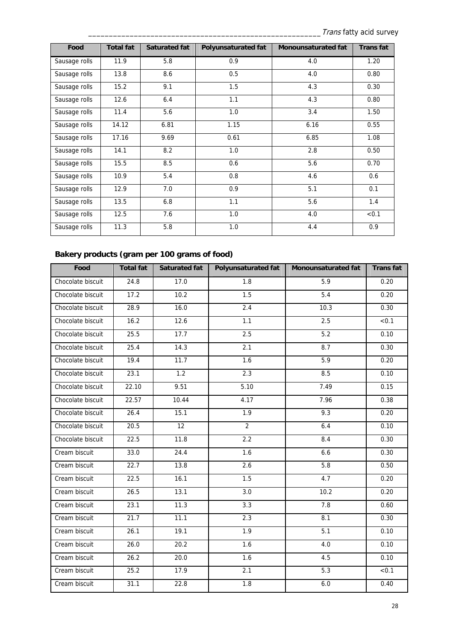| Food          | <b>Total fat</b> | Saturated fat | <b>Polyunsaturated fat</b> | <b>Monounsaturated fat</b> | <b>Transfat</b> |
|---------------|------------------|---------------|----------------------------|----------------------------|-----------------|
| Sausage rolls | 11.9             | 5.8           | 0.9                        | 4.0                        | 1.20            |
| Sausage rolls | 13.8             | 8.6           | 0.5                        | 4.0                        | 0.80            |
| Sausage rolls | 15.2             | 9.1           | 1.5                        | 4.3                        | 0.30            |
| Sausage rolls | 12.6             | 6.4           | 1.1                        | 4.3                        | 0.80            |
| Sausage rolls | 11.4             | 5.6           | 1.0                        | 3.4                        | 1.50            |
| Sausage rolls | 14.12            | 6.81          | 1.15                       | 6.16                       | 0.55            |
| Sausage rolls | 17.16            | 9.69          | 0.61                       | 6.85                       | 1.08            |
| Sausage rolls | 14.1             | 8.2           | 1.0                        | 2.8                        | 0.50            |
| Sausage rolls | 15.5             | 8.5           | 0.6                        | 5.6                        | 0.70            |
| Sausage rolls | 10.9             | 5.4           | 0.8                        | 4.6                        | 0.6             |
| Sausage rolls | 12.9             | 7.0           | 0.9                        | 5.1                        | 0.1             |
| Sausage rolls | 13.5             | 6.8           | 1.1                        | 5.6                        | 1.4             |
| Sausage rolls | 12.5             | 7.6           | 1.0                        | 4.0                        | < 0.1           |
| Sausage rolls | 11.3             | 5.8           | 1.0                        | 4.4                        | 0.9             |

### **Bakery products (gram per 100 grams of food)**

| Food              | <b>Total fat</b> | <b>Saturated fat</b> | <b>Polyunsaturated fat</b> | <b>Monounsaturated fat</b> | <b>Transfat</b> |
|-------------------|------------------|----------------------|----------------------------|----------------------------|-----------------|
| Chocolate biscuit | 24.8             | 17.0                 | 1.8                        | 5.9                        | 0.20            |
| Chocolate biscuit | 17.2             | 10.2                 | 1.5                        | 5.4                        | 0.20            |
| Chocolate biscuit | 28.9             | 16.0                 | 2.4                        | 10.3                       | 0.30            |
| Chocolate biscuit | 16.2             | 12.6                 | 1.1                        | 2.5                        | < 0.1           |
| Chocolate biscuit | 25.5             | 17.7                 | 2.5                        | 5.2                        | 0.10            |
| Chocolate biscuit | 25.4             | 14.3                 | 2.1                        | 8.7                        | 0.30            |
| Chocolate biscuit | 19.4             | 11.7                 | 1.6                        | 5.9                        | 0.20            |
| Chocolate biscuit | 23.1             | 1.2                  | 2.3                        | 8.5                        | 0.10            |
| Chocolate biscuit | 22.10            | 9.51                 | 5.10                       | 7.49                       | 0.15            |
| Chocolate biscuit | 22.57            | 10.44                | 4.17                       | 7.96                       | 0.38            |
| Chocolate biscuit | 26.4             | 15.1                 | 1.9                        | 9.3                        | 0.20            |
| Chocolate biscuit | 20.5             | 12                   | $\overline{2}$             | 6.4                        | 0.10            |
| Chocolate biscuit | 22.5             | 11.8                 | 2.2                        | 8.4                        | 0.30            |
| Cream biscuit     | 33.0             | 24.4                 | 1.6                        | 6.6                        | 0.30            |
| Cream biscuit     | 22.7             | 13.8                 | 2.6                        | 5.8                        | 0.50            |
| Cream biscuit     | 22.5             | 16.1                 | 1.5                        | 4.7                        | 0.20            |
| Cream biscuit     | 26.5             | 13.1                 | 3.0                        | 10.2                       | 0.20            |
| Cream biscuit     | 23.1             | 11.3                 | 3.3                        | 7.8                        | 0.60            |
| Cream biscuit     | 21.7             | 11.1                 | 2.3                        | 8.1                        | 0.30            |
| Cream biscuit     | 26.1             | 19.1                 | 1.9                        | 5.1                        | 0.10            |
| Cream biscuit     | 26.0             | 20.2                 | 1.6                        | 4.0                        | 0.10            |
| Cream biscuit     | 26.2             | 20.0                 | 1.6                        | 4.5                        | 0.10            |
| Cream biscuit     | 25.2             | 17.9                 | 2.1                        | 5.3                        | < 0.1           |
| Cream biscuit     | 31.1             | 22.8                 | 1.8                        | 6.0                        | 0.40            |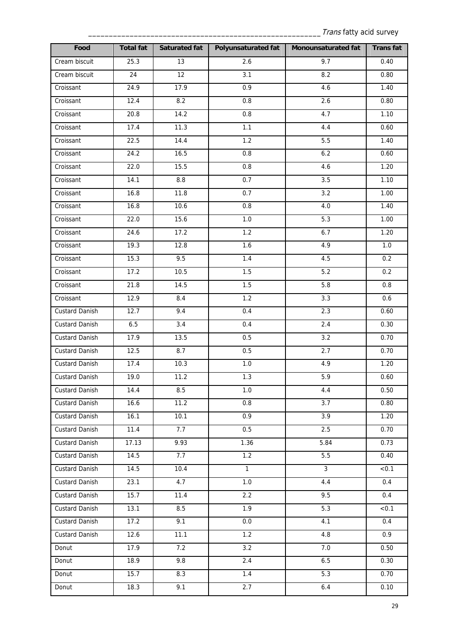| Food                  | <b>Total fat</b> | Saturated fat | <b>Polyunsaturated fat</b> | Monounsaturated fat | <b>Transfat</b> |
|-----------------------|------------------|---------------|----------------------------|---------------------|-----------------|
| Cream biscuit         | 25.3             | 13            | 2.6                        | 9.7                 | 0.40            |
| Cream biscuit         | 24               | 12            | 3.1                        | 8.2                 | 0.80            |
| Croissant             | 24.9             | 17.9          | 0.9                        | 4.6                 | 1.40            |
| Croissant             | 12.4             | 8.2           | 0.8                        | 2.6                 | 0.80            |
| Croissant             | 20.8             | 14.2          | 0.8                        | 4.7                 | 1.10            |
| Croissant             | 17.4             | 11.3          | 1.1                        | 4.4                 | 0.60            |
| Croissant             | 22.5             | 14.4          | $\overline{1.2}$           | 5.5                 | 1.40            |
| Croissant             | 24.2             | 16.5          | 0.8                        | 6.2                 | 0.60            |
| Croissant             | 22.0             | 15.5          | 0.8                        | 4.6                 | 1.20            |
| Croissant             | 14.1             | $\bf 8.8$     | 0.7                        | 3.5                 | 1.10            |
| Croissant             | 16.8             | 11.8          | 0.7                        | 3.2                 | 1.00            |
| Croissant             | 16.8             | 10.6          | 0.8                        | $4.0\,$             | 1.40            |
| Croissant             | 22.0             | 15.6          | 1.0                        | 5.3                 | 1.00            |
| Croissant             | 24.6             | 17.2          | $\overline{1.2}$           | 6.7                 | 1.20            |
| Croissant             | 19.3             | 12.8          | 1.6                        | 4.9                 | 1.0             |
| Croissant             | 15.3             | 9.5           | 1.4                        | 4.5                 | 0.2             |
| Croissant             | 17.2             | 10.5          | 1.5                        | 5.2                 | 0.2             |
| Croissant             | 21.8             | 14.5          | 1.5                        | 5.8                 | 0.8             |
| Croissant             | 12.9             | 8.4           | 1.2                        | 3.3                 | 0.6             |
| Custard Danish        | 12.7             | 9.4           | 0.4                        | 2.3                 | 0.60            |
| <b>Custard Danish</b> | 6.5              | 3.4           | 0.4                        | 2.4                 | 0.30            |
| Custard Danish        | 17.9             | 13.5          | 0.5                        | 3.2                 | 0.70            |
| <b>Custard Danish</b> | 12.5             | 8.7           | 0.5                        | 2.7                 | 0.70            |
| Custard Danish        | 17.4             | 10.3          | 1.0                        | 4.9                 | 1.20            |
| Custard Danish        | 19.0             | 11.2          | 1.3                        | 5.9                 | 0.60            |
| <b>Custard Danish</b> | 14.4             | 8.5           | 1.0                        | 4.4                 | 0.50            |
| <b>Custard Danish</b> | 16.6             | 11.2          | 0.8                        | 3.7                 | 0.80            |
| <b>Custard Danish</b> | 16.1             | 10.1          | 0.9                        | 3.9                 | 1.20            |
| <b>Custard Danish</b> | 11.4             | 7.7           | 0.5                        | 2.5                 | 0.70            |
| <b>Custard Danish</b> | 17.13            | 9.93          | 1.36                       | 5.84                | 0.73            |
| <b>Custard Danish</b> | 14.5             | 7.7           | 1.2                        | 5.5                 | 0.40            |
| <b>Custard Danish</b> | 14.5             | 10.4          | $\overline{1}$             | $\overline{3}$      | < 0.1           |
| <b>Custard Danish</b> | 23.1             | 4.7           | 1.0                        | 4.4                 | 0.4             |
| <b>Custard Danish</b> | 15.7             | 11.4          | 2.2                        | 9.5                 | 0.4             |
| <b>Custard Danish</b> | 13.1             | 8.5           | 1.9                        | 5.3                 | < 0.1           |
| <b>Custard Danish</b> | 17.2             | 9.1           | 0.0                        | 4.1                 | 0.4             |
| <b>Custard Danish</b> | 12.6             | 11.1          | 1.2                        | 4.8                 | 0.9             |
| Donut                 | 17.9             | 7.2           | 3.2                        | 7.0                 | 0.50            |
| Donut                 | 18.9             | 9.8           | 2.4                        | 6.5                 | 0.30            |
| Donut                 | 15.7             | 8.3           | 1.4                        | 5.3                 | 0.70            |
| Donut                 | 18.3             | 9.1           | 2.7                        | $6.4$               | 0.10            |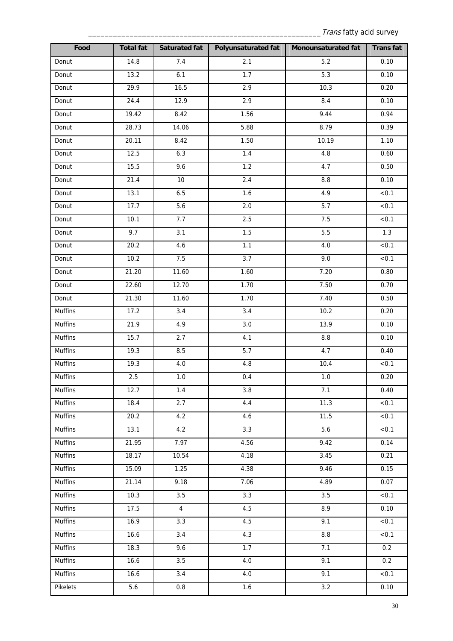| Food           | <b>Total fat</b>  | Saturated fat    | <b>Polyunsaturated fat</b> | Monounsaturated fat | <b>Transfat</b>   |
|----------------|-------------------|------------------|----------------------------|---------------------|-------------------|
| Donut          | 14.8              | 7.4              | 2.1                        | $5.2$               | 0.10              |
| Donut          | 13.2              | 6.1              | 1.7                        | 5.3                 | 0.10              |
| Donut          | 29.9              | 16.5             | 2.9                        | 10.3                | 0.20              |
| Donut          | 24.4              | 12.9             | 2.9                        | 8.4                 | 0.10              |
| Donut          | 19.42             | 8.42             | 1.56                       | 9.44                | 0.94              |
| Donut          | 28.73             | 14.06            | 5.88                       | 8.79                | 0.39              |
| Donut          | 20.11             | 8.42             | 1.50                       | 10.19               | 1.10              |
| Donut          | 12.5              | 6.3              | 1.4                        | 4.8                 | 0.60              |
| Donut          | $\overline{15.5}$ | 9.6              | 1.2                        | 4.7                 | 0.50              |
| Donut          | 21.4              | $10\,$           | 2.4                        | $8.8\,$             | 0.10              |
| Donut          | 13.1              | $6.5\,$          | 1.6                        | 4.9                 | < 0.1             |
| Donut          | 17.7              | 5.6              | 2.0                        | 5.7                 | < 0.1             |
| Donut          | 10.1              | 7.7              | 2.5                        | 7.5                 | < 0.1             |
| Donut          | 9.7               | $\overline{3.1}$ | 1.5                        | 5.5                 | 1.3               |
| Donut          | 20.2              | 4.6              | 1.1                        | $4.0$               | < 0.1             |
| Donut          | 10.2              | 7.5              | 3.7                        | 9.0                 | < 0.1             |
| Donut          | 21.20             | 11.60            | 1.60                       | 7.20                | 0.80              |
| Donut          | 22.60             | 12.70            | 1.70                       | 7.50                | 0.70              |
| Donut          | 21.30             | 11.60            | 1.70                       | 7.40                | 0.50              |
| Muffins        | 17.2              | 3.4              | 3.4                        | 10.2                | 0.20              |
| Muffins        | 21.9              | 4.9              | 3.0                        | 13.9                | 0.10              |
| Muffins        | 15.7              | 2.7              | 4.1                        | $8.8\,$             | 0.10              |
| Muffins        | 19.3              | 8.5              | 5.7                        | 4.7                 | 0.40              |
| Muffins        | 19.3              | $4.0\,$          | 4.8                        | 10.4                | < 0.1             |
| Muffins        | 2.5               | $1.0\,$          | 0.4                        | $1.0\,$             | 0.20              |
| Muffins        | 12.7              | 1.4              | 3.8                        | 7.1                 | 0.40              |
| Muffins        | 18.4              | 2.7              | 4.4                        | 11.3                | < 0.1             |
| <b>Muffins</b> | 20.2              | 4.2              | 4.6                        | 11.5                | < 0.1             |
| Muffins        | 13.1              | 4.2              | $\overline{3.3}$           | 5.6                 | $\overline{50.1}$ |
| Muffins        | 21.95             | 7.97             | 4.56                       | 9.42                | 0.14              |
| Muffins        | 18.17             | 10.54            | 4.18                       | 3.45                | 0.21              |
| Muffins        | 15.09             | 1.25             | $\overline{4}.38$          | 9.46                | 0.15              |
| Muffins        | 21.14             | 9.18             | 7.06                       | 4.89                | 0.07              |
| Muffins        | 10.3              | 3.5              | 3.3                        | 3.5                 | < 0.1             |
| Muffins        | 17.5              | $\overline{4}$   | 4.5                        | 8.9                 | 0.10              |
| <b>Muffins</b> | 16.9              | 3.3              | 4.5                        | 9.1                 | < 0.1             |
| Muffins        | 16.6              | $\overline{3.4}$ | 4.3                        | 8.8                 | < 0.1             |
| Muffins        | 18.3              | 9.6              | 1.7                        | 7.1                 | 0.2               |
| Muffins        | 16.6              | $\overline{3.5}$ | 4.0                        | 9.1                 | 0.2               |
| Muffins        | 16.6              | 3.4              | 4.0                        | 9.1                 | < 0.1             |
| Pikelets       | 5.6               | $0.8\,$          | 1.6                        | 3.2                 | 0.10              |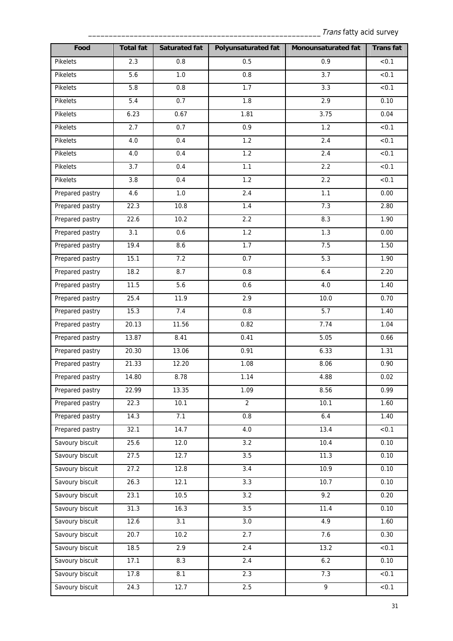| Food            | <b>Total fat</b>  | <b>Saturated fat</b> | <b>Polyunsaturated fat</b> | Monounsaturated fat | <b>Transfat</b> |
|-----------------|-------------------|----------------------|----------------------------|---------------------|-----------------|
| Pikelets        | 2.3               | 0.8                  | 0.5                        | 0.9                 | < 0.1           |
| Pikelets        | 5.6               | 1.0                  | 0.8                        | 3.7                 | < 0.1           |
| Pikelets        | 5.8               | 0.8                  | 1.7                        | 3.3                 | < 0.1           |
| Pikelets        | 5.4               | 0.7                  | 1.8                        | 2.9                 | 0.10            |
| Pikelets        | 6.23              | 0.67                 | 1.81                       | 3.75                | 0.04            |
| Pikelets        | 2.7               | 0.7                  | $\overline{0.9}$           | $\overline{1.2}$    | < 0.1           |
| Pikelets        | 4.0               | 0.4                  | $\overline{1.2}$           | 2.4                 | < 0.1           |
| Pikelets        | $4.0$             | 0.4                  | 1.2                        | 2.4                 | < 0.1           |
| Pikelets        | 3.7               | 0.4                  | 1.1                        | 2.2                 | < 0.1           |
| Pikelets        | 3.8               | 0.4                  | 1.2                        | 2.2                 | < 0.1           |
| Prepared pastry | 4.6               | $1.0\,$              | 2.4                        | 1.1                 | 0.00            |
| Prepared pastry | 22.3              | 10.8                 | 1.4                        | 7.3                 | 2.80            |
| Prepared pastry | 22.6              | 10.2                 | 2.2                        | 8.3                 | 1.90            |
| Prepared pastry | 3.1               | 0.6                  | 1.2                        | 1.3                 | 0.00            |
| Prepared pastry | 19.4              | 8.6                  | 1.7                        | 7.5                 | 1.50            |
| Prepared pastry | 15.1              | 7.2                  | 0.7                        | 5.3                 | 1.90            |
| Prepared pastry | 18.2              | 8.7                  | 0.8                        | 6.4                 | 2.20            |
| Prepared pastry | 11.5              | 5.6                  | 0.6                        | 4.0                 | 1.40            |
| Prepared pastry | 25.4              | 11.9                 | 2.9                        | 10.0                | 0.70            |
| Prepared pastry | 15.3              | 7.4                  | 0.8                        | 5.7                 | 1.40            |
| Prepared pastry | 20.13             | 11.56                | 0.82                       | 7.74                | 1.04            |
| Prepared pastry | 13.87             | 8.41                 | 0.41                       | 5.05                | 0.66            |
| Prepared pastry | 20.30             | 13.06                | 0.91                       | 6.33                | 1.31            |
| Prepared pastry | 21.33             | 12.20                | 1.08                       | 8.06                | 0.90            |
| Prepared pastry | 14.80             | 8.78                 | 1.14                       | 4.88                | 0.02            |
| Prepared pastry | 22.99             | 13.35                | 1.09                       | 8.56                | 0.99            |
| Prepared pastry | 22.3              | 10.1                 | $\overline{2}$             | 10.1                | 1.60            |
| Prepared pastry | 14.3              | 7.1                  | 0.8                        | 6.4                 | 1.40            |
| Prepared pastry | 32.1              | 14.7                 | 4.0                        | 13.4                | < 0.1           |
| Savoury biscuit | 25.6              | 12.0                 | 3.2                        | 10.4                | 0.10            |
| Savoury biscuit | 27.5              | 12.7                 | 3.5                        | 11.3                | 0.10            |
| Savoury biscuit | 27.2              | 12.8                 | $\overline{3.4}$           | 10.9                | 0.10            |
| Savoury biscuit | 26.3              | 12.1                 | 3.3                        | 10.7                | 0.10            |
| Savoury biscuit | 23.1              | 10.5                 | 3.2                        | 9.2                 | 0.20            |
| Savoury biscuit | 31.3              | 16.3                 | 3.5                        | 11.4                | 0.10            |
| Savoury biscuit | 12.6              | 3.1                  | 3.0                        | 4.9                 | 1.60            |
| Savoury biscuit | 20.7              | 10.2                 | 2.7                        | 7.6                 | 0.30            |
| Savoury biscuit | $\overline{18.5}$ | 2.9                  | 2.4                        | 13.2                | < 0.1           |
| Savoury biscuit | 17.1              | 8.3                  | 2.4                        | 6.2                 | 0.10            |
| Savoury biscuit | 17.8              | 8.1                  | 2.3                        | 7.3                 | < 0.1           |
| Savoury biscuit | 24.3              | 12.7                 | 2.5                        | 9                   | < 0.1           |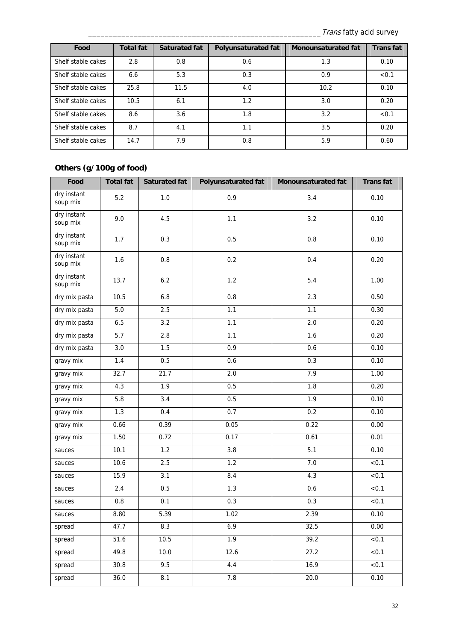| Food               | <b>Total fat</b> | <b>Saturated fat</b> | <b>Polyunsaturated fat</b> | <b>Monounsaturated fat</b> | <b>Trans fat</b> |
|--------------------|------------------|----------------------|----------------------------|----------------------------|------------------|
| Shelf stable cakes | 2.8              | 0.8                  | 0.6                        | 1.3                        | 0.10             |
| Shelf stable cakes | 6.6              | 5.3                  | 0.3                        | 0.9                        | < 0.1            |
| Shelf stable cakes | 25.8             | 11.5                 | 4.0                        | 10.2                       | 0.10             |
| Shelf stable cakes | 10.5             | 6.1                  | 1.2                        | 3.0                        | 0.20             |
| Shelf stable cakes | 8.6              | 3.6                  | 1.8                        | 3.2                        | < 0.1            |
| Shelf stable cakes | 8.7              | 4.1                  | 1.1                        | 3.5                        | 0.20             |
| Shelf stable cakes | 14.7             | 7.9                  | 0.8                        | 5.9                        | 0.60             |

### **Others (g/100g of food)**

| Food                    | <b>Total fat</b> | <b>Saturated fat</b> | Polyunsaturated fat | Monounsaturated fat | <b>Transfat</b> |
|-------------------------|------------------|----------------------|---------------------|---------------------|-----------------|
| dry instant<br>soup mix | 5.2              | 1.0                  | 0.9                 | 3.4                 | 0.10            |
| dry instant<br>soup mix | 9.0              | 4.5                  | 1.1                 | 3.2                 | 0.10            |
| dry instant<br>soup mix | 1.7              | 0.3                  | 0.5                 | $0.8\,$             | 0.10            |
| dry instant<br>soup mix | 1.6              | $0.8\,$              | 0.2                 | 0.4                 | 0.20            |
| dry instant<br>soup mix | 13.7             | 6.2                  | 1.2                 | 5.4                 | 1.00            |
| dry mix pasta           | 10.5             | 6.8                  | 0.8                 | 2.3                 | 0.50            |
| dry mix pasta           | $5.0$            | 2.5                  | 1.1                 | $\overline{1.1}$    | 0.30            |
| dry mix pasta           | 6.5              | 3.2                  | 1.1                 | $2.0\,$             | 0.20            |
| dry mix pasta           | 5.7              | 2.8                  | 1.1                 | 1.6                 | 0.20            |
| dry mix pasta           | 3.0              | 1.5                  | 0.9                 | 0.6                 | 0.10            |
| gravy mix               | 1.4              | 0.5                  | 0.6                 | 0.3                 | 0.10            |
| gravy mix               | 32.7             | 21.7                 | $\overline{2.0}$    | 7.9                 | 1.00            |
| gravy mix               | 4.3              | $\overline{1.9}$     | 0.5                 | 1.8                 | 0.20            |
| gravy mix               | 5.8              | 3.4                  | 0.5                 | $\overline{1.9}$    | 0.10            |
| gravy mix               | 1.3              | 0.4                  | 0.7                 | 0.2                 | 0.10            |
| gravy mix               | 0.66             | 0.39                 | 0.05                | 0.22                | 0.00            |
| gravy mix               | 1.50             | 0.72                 | 0.17                | 0.61                | 0.01            |
| sauces                  | 10.1             | 1.2                  | 3.8                 | 5.1                 | 0.10            |
| sauces                  | 10.6             | 2.5                  | 1.2                 | 7.0                 | < 0.1           |
| sauces                  | 15.9             | $\overline{3.1}$     | 8.4                 | 4.3                 | < 0.1           |
| sauces                  | 2.4              | 0.5                  | 1.3                 | 0.6                 | < 0.1           |
| sauces                  | 0.8              | 0.1                  | $0.3\,$             | 0.3                 | < 0.1           |
| sauces                  | 8.80             | 5.39                 | 1.02                | 2.39                | 0.10            |
| spread                  | 47.7             | 8.3                  | 6.9                 | 32.5                | 0.00            |
| spread                  | 51.6             | 10.5                 | 1.9                 | 39.2                | < 0.1           |
| spread                  | 49.8             | 10.0                 | 12.6                | 27.2                | < 0.1           |
| spread                  | 30.8             | 9.5                  | 4.4                 | 16.9                | < 0.1           |
| spread                  | 36.0             | 8.1                  | 7.8                 | 20.0                | 0.10            |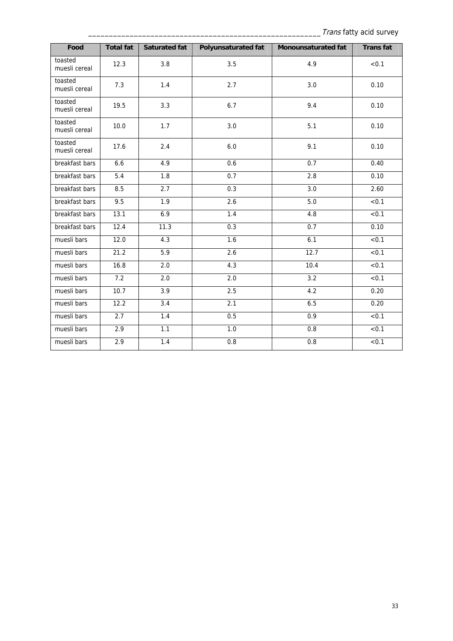| Food                     | <b>Total fat</b> | <b>Saturated fat</b> | <b>Polyunsaturated fat</b> | Monounsaturated fat | <b>Transfat</b>   |
|--------------------------|------------------|----------------------|----------------------------|---------------------|-------------------|
| toasted<br>muesli cereal | 12.3             | 3.8                  | 3.5                        | 4.9                 | < 0.1             |
| toasted<br>muesli cereal | 7.3              | 1.4                  | 2.7                        | 3.0                 | 0.10              |
| toasted<br>muesli cereal | 19.5             | 3.3                  | 6.7                        | 9.4                 | 0.10              |
| toasted<br>muesli cereal | 10.0             | 1.7                  | 3.0                        | 5.1                 | 0.10              |
| toasted<br>muesli cereal | 17.6             | 2.4                  | 6.0                        | 9.1                 | 0.10              |
| breakfast bars           | 6.6              | 4.9                  | 0.6                        | 0.7                 | 0.40              |
| breakfast bars           | 5.4              | 1.8                  | 0.7                        | 2.8                 | 0.10              |
| breakfast bars           | 8.5              | 2.7                  | 0.3                        | 3.0                 | 2.60              |
| breakfast bars           | 9.5              | 1.9                  | 2.6                        | 5.0                 | < 0.1             |
| breakfast bars           | 13.1             | 6.9                  | 1.4                        | 4.8                 | < 0.1             |
| breakfast bars           | 12.4             | 11.3                 | 0.3                        | 0.7                 | 0.10              |
| muesli bars              | 12.0             | 4.3                  | 1.6                        | 6.1                 | < 0.1             |
| muesli bars              | 21.2             | 5.9                  | 2.6                        | 12.7                | < 0.1             |
| muesli bars              | 16.8             | 2.0                  | 4.3                        | 10.4                | $\overline{50.1}$ |
| muesli bars              | 7.2              | 2.0                  | 2.0                        | 3.2                 | < 0.1             |
| muesli bars              | 10.7             | $\overline{3.9}$     | 2.5                        | 4.2                 | 0.20              |
| muesli bars              | 12.2             | $\overline{3.4}$     | 2.1                        | 6.5                 | 0.20              |
| muesli bars              | 2.7              | 1.4                  | 0.5                        | 0.9                 | < 0.1             |
| muesli bars              | 2.9              | 1.1                  | $\overline{1.0}$           | 0.8                 | $\overline{50.1}$ |
| muesli bars              | 2.9              | 1.4                  | 0.8                        | 0.8                 | < 0.1             |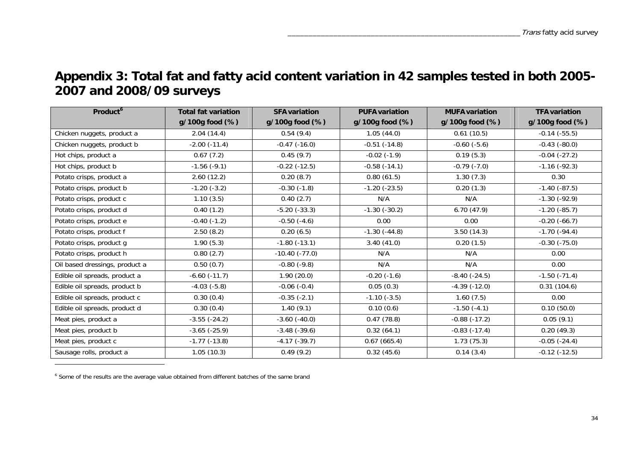### **Appendix 3: Total fat and fatty acid content variation in 42 samples tested in both 2005- 2007 and 2008/09 surveys**

| Product <sup>6</sup>           | <b>Total fat variation</b> | <b>SFA variation</b> | <b>PUFA variation</b> | <b>MUFA variation</b> | <b>TFA variation</b> |
|--------------------------------|----------------------------|----------------------|-----------------------|-----------------------|----------------------|
|                                | g/100g food (%)            | g/100g food (%)      | g/100g food (%)       | g/100g food (%)       | g/100g food (%)      |
| Chicken nuggets, product a     | 2.04(14.4)                 | 0.54(9.4)            | 1.05(44.0)            | 0.61(10.5)            | $-0.14$ $(-55.5)$    |
| Chicken nuggets, product b     | $-2.00(-11.4)$             | $-0.47$ $(-16.0)$    | $-0.51(-14.8)$        | $-0.60(-5.6)$         | $-0.43(-80.0)$       |
| Hot chips, product a           | 0.67(7.2)                  | 0.45(9.7)            | $-0.02(-1.9)$         | 0.19(5.3)             | $-0.04$ $(-27.2)$    |
| Hot chips, product b           | $-1.56(-9.1)$              | $-0.22$ $(-12.5)$    | $-0.58(-14.1)$        | $-0.79(-7.0)$         | $-1.16(-92.3)$       |
| Potato crisps, product a       | 2.60(12.2)                 | 0.20(8.7)            | 0.80(61.5)            | 1.30(7.3)             | 0.30                 |
| Potato crisps, product b       | $-1.20(-3.2)$              | $-0.30(-1.8)$        | $-1.20$ $(-23.5)$     | 0.20(1.3)             | $-1.40(-87.5)$       |
| Potato crisps, product c       | 1.10(3.5)                  | 0.40(2.7)            | N/A                   | N/A                   | $-1.30(-92.9)$       |
| Potato crisps, product d       | 0.40(1.2)                  | $-5.20$ $(-33.3)$    | $-1.30(-30.2)$        | 6.70(47.9)            | $-1.20(-85.7)$       |
| Potato crisps, product e       | $-0.40(-1.2)$              | $-0.50(-4.6)$        | 0.00                  | 0.00                  | $-0.20(-66.7)$       |
| Potato crisps, product f       | 2.50(8.2)                  | 0.20(6.5)            | $-1.30(-44.8)$        | 3.50(14.3)            | $-1.70(-94.4)$       |
| Potato crisps, product g       | 1.90(5.3)                  | $-1.80(-13.1)$       | 3.40(41.0)            | 0.20(1.5)             | $-0.30(-75.0)$       |
| Potato crisps, product h       | 0.80(2.7)                  | $-10.40(-77.0)$      | N/A                   | N/A                   | 0.00                 |
| Oil based dressings, product a | 0.50(0.7)                  | $-0.80(-9.8)$        | N/A                   | N/A                   | 0.00                 |
| Edible oil spreads, product a  | $-6.60(-11.7)$             | 1.90(20.0)           | $-0.20(-1.6)$         | $-8.40(-24.5)$        | $-1.50$ $(-71.4)$    |
| Edible oil spreads, product b  | $-4.03(-5.8)$              | $-0.06(-0.4)$        | 0.05(0.3)             | $-4.39(-12.0)$        | 0.31(104.6)          |
| Edible oil spreads, product c  | 0.30(0.4)                  | $-0.35(-2.1)$        | $-1.10(-3.5)$         | 1.60(7.5)             | 0.00                 |
| Edible oil spreads, product d  | 0.30(0.4)                  | 1.40(9.1)            | 0.10(0.6)             | $-1.50(-4.1)$         | 0.10(50.0)           |
| Meat pies, product a           | $-3.55(-24.2)$             | $-3.60$ $(-40.0)$    | 0.47(78.8)            | $-0.88(-17.2)$        | 0.05(9.1)            |
| Meat pies, product b           | $-3.65(-25.9)$             | $-3.48(-39.6)$       | 0.32(64.1)            | $-0.83(-17.4)$        | 0.20(49.3)           |
| Meat pies, product c           | $-1.77(-13.8)$             | $-4.17(-39.7)$       | 0.67(665.4)           | 1.73(75.3)            | $-0.05$ $(-24.4)$    |
| Sausage rolls, product a       | 1.05(10.3)                 | 0.49(9.2)            | 0.32(45.6)            | 0.14(3.4)             | $-0.12$ $(-12.5)$    |

 $6$  Some of the results are the average value obtained from different batches of the same brand